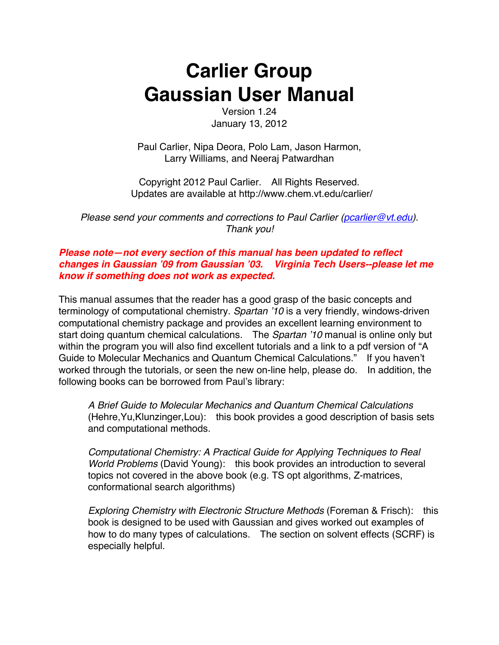# **Carlier Group Gaussian User Manual**

Version 1.24 January 13, 2012

Paul Carlier, Nipa Deora, Polo Lam, Jason Harmon, Larry Williams, and Neeraj Patwardhan

Copyright 2012 Paul Carlier. All Rights Reserved. Updates are available at http://www.chem.vt.edu/carlier/

*Please send your comments and corrections to Paul Carlier (pcarlier@vt.edu). Thank you!*

### *Please note—not every section of this manual has been updated to reflect changes in Gaussian '09 from Gaussian '03. Virginia Tech Users--please let me know if something does not work as expected.*

This manual assumes that the reader has a good grasp of the basic concepts and terminology of computational chemistry. *Spartan '10* is a very friendly, windows-driven computational chemistry package and provides an excellent learning environment to start doing quantum chemical calculations. The *Spartan '10* manual is online only but within the program you will also find excellent tutorials and a link to a pdf version of "A Guide to Molecular Mechanics and Quantum Chemical Calculations." If you haven't worked through the tutorials, or seen the new on-line help, please do. In addition, the following books can be borrowed from Paul's library:

*A Brief Guide to Molecular Mechanics and Quantum Chemical Calculations* (Hehre,Yu,Klunzinger,Lou): this book provides a good description of basis sets and computational methods.

*Computational Chemistry: A Practical Guide for Applying Techniques to Real World Problems* (David Young): this book provides an introduction to several topics not covered in the above book (e.g. TS opt algorithms, Z-matrices, conformational search algorithms)

*Exploring Chemistry with Electronic Structure Methods* (Foreman & Frisch): this book is designed to be used with Gaussian and gives worked out examples of how to do many types of calculations. The section on solvent effects (SCRF) is especially helpful.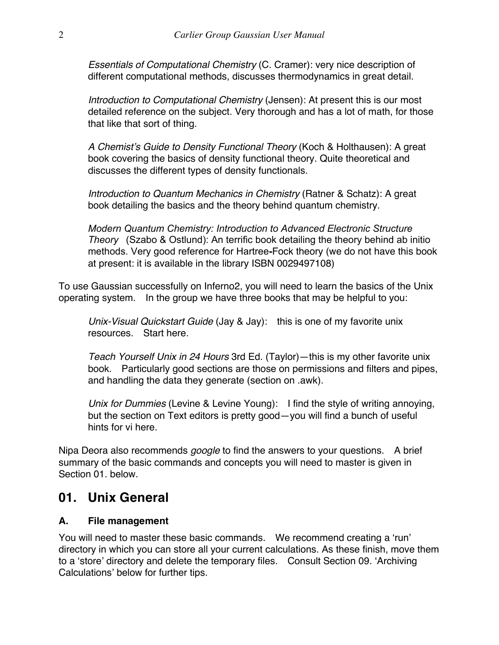*Essentials of Computational Chemistry* (C. Cramer): very nice description of different computational methods, discusses thermodynamics in great detail.

*Introduction to Computational Chemistry* (Jensen): At present this is our most detailed reference on the subject. Very thorough and has a lot of math, for those that like that sort of thing.

*A Chemist's Guide to Density Functional Theory* (Koch & Holthausen): A great book covering the basics of density functional theory. Quite theoretical and discusses the different types of density functionals.

*Introduction to Quantum Mechanics in Chemistry* (Ratner & Schatz): A great book detailing the basics and the theory behind quantum chemistry.

*Modern Quantum Chemistry: Introduction to Advanced Electronic Structure Theory* (Szabo & Ostlund): An terrific book detailing the theory behind ab initio methods. Very good reference for Hartree**-**Fock theory (we do not have this book at present: it is available in the library ISBN 0029497108)

To use Gaussian successfully on Inferno2, you will need to learn the basics of the Unix operating system. In the group we have three books that may be helpful to you:

*Unix-Visual Quickstart Guide* (Jay & Jay): this is one of my favorite unix resources. Start here.

*Teach Yourself Unix in 24 Hours* 3rd Ed. (Taylor)—this is my other favorite unix book. Particularly good sections are those on permissions and filters and pipes, and handling the data they generate (section on .awk).

*Unix for Dummies* (Levine & Levine Young): I find the style of writing annoying, but the section on Text editors is pretty good—you will find a bunch of useful hints for vi here.

Nipa Deora also recommends *google* to find the answers to your questions. A brief summary of the basic commands and concepts you will need to master is given in Section 01. below.

### **01. Unix General**

### **A. File management**

You will need to master these basic commands. We recommend creating a 'run' directory in which you can store all your current calculations. As these finish, move them to a 'store' directory and delete the temporary files. Consult Section 09. 'Archiving Calculations' below for further tips.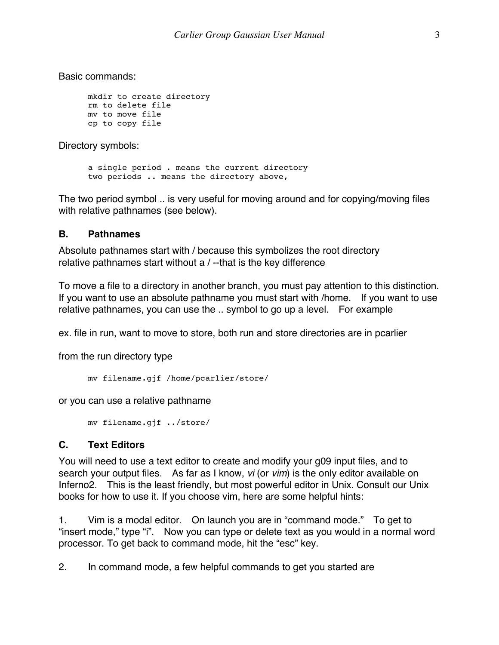Basic commands:

```
mkdir to create directory
rm to delete file
mv to move file
cp to copy file
```
Directory symbols:

a single period . means the current directory two periods .. means the directory above,

The two period symbol .. is very useful for moving around and for copying/moving files with relative pathnames (see below).

#### **B. Pathnames**

Absolute pathnames start with / because this symbolizes the root directory relative pathnames start without a / --that is the key difference

To move a file to a directory in another branch, you must pay attention to this distinction. If you want to use an absolute pathname you must start with /home. If you want to use relative pathnames, you can use the .. symbol to go up a level. For example

ex. file in run, want to move to store, both run and store directories are in pcarlier

from the run directory type

```
mv filename.gjf /home/pcarlier/store/
```
or you can use a relative pathname

mv filename.gjf ../store/

### **C. Text Editors**

You will need to use a text editor to create and modify your g09 input files, and to search your output files. As far as I know, *vi* (or *vim*) is the only editor available on Inferno2. This is the least friendly, but most powerful editor in Unix. Consult our Unix books for how to use it. If you choose vim, here are some helpful hints:

1. Vim is a modal editor. On launch you are in "command mode." To get to "insert mode," type "i". Now you can type or delete text as you would in a normal word processor. To get back to command mode, hit the "esc" key.

2. In command mode, a few helpful commands to get you started are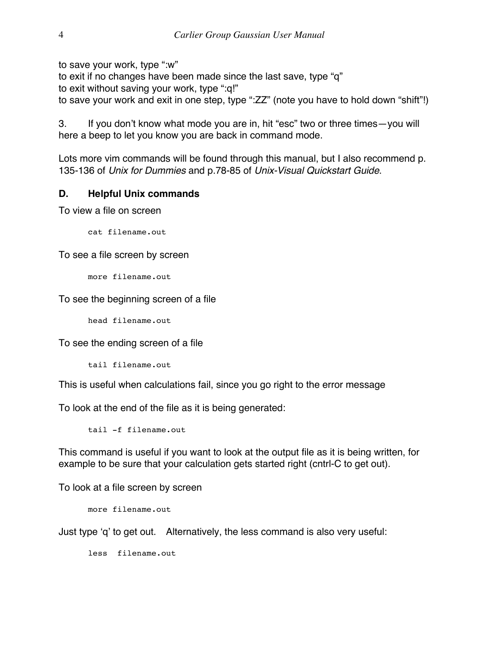to save your work, type ":w"

to exit if no changes have been made since the last save, type "q"

to exit without saving your work, type ":q!"

to save your work and exit in one step, type ":ZZ" (note you have to hold down "shift"!)

3. If you don't know what mode you are in, hit "esc" two or three times—you will here a beep to let you know you are back in command mode.

Lots more vim commands will be found through this manual, but I also recommend p. 135-136 of *Unix for Dummies* and p.78-85 of *Unix-Visual Quickstart Guide*.

### **D. Helpful Unix commands**

To view a file on screen

cat filename.out

To see a file screen by screen

more filename.out

To see the beginning screen of a file

head filename.out

To see the ending screen of a file

tail filename.out

This is useful when calculations fail, since you go right to the error message

To look at the end of the file as it is being generated:

tail -f filename.out

This command is useful if you want to look at the output file as it is being written, for example to be sure that your calculation gets started right (cntrl-C to get out).

To look at a file screen by screen

more filename.out

Just type 'q' to get out. Alternatively, the less command is also very useful:

less filename.out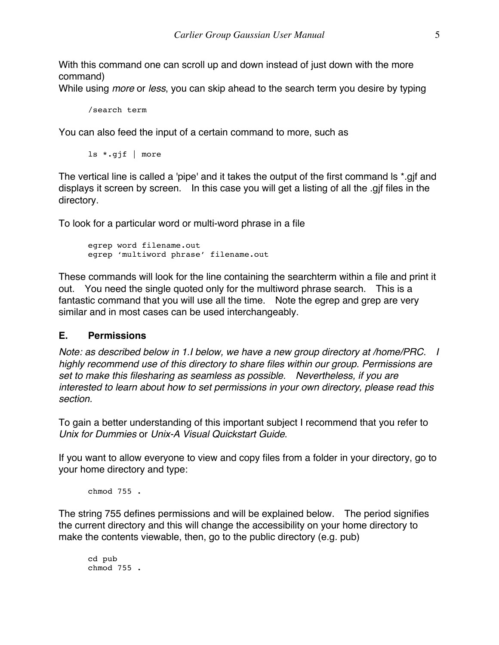With this command one can scroll up and down instead of just down with the more command)

While using *more* or *less*, you can skip ahead to the search term you desire by typing

```
/search term
```
You can also feed the input of a certain command to more, such as

ls \*.gjf | more

The vertical line is called a 'pipe' and it takes the output of the first command ls \*.gjf and displays it screen by screen. In this case you will get a listing of all the .gjf files in the directory.

To look for a particular word or multi-word phrase in a file

```
egrep word filename.out
egrep 'multiword phrase' filename.out
```
These commands will look for the line containing the searchterm within a file and print it out. You need the single quoted only for the multiword phrase search. This is a fantastic command that you will use all the time. Note the egrep and grep are very similar and in most cases can be used interchangeably.

#### **E. Permissions**

*Note: as described below in 1.I below, we have a new group directory at /home/PRC. I highly recommend use of this directory to share files within our group. Permissions are set to make this filesharing as seamless as possible. Nevertheless, if you are interested to learn about how to set permissions in your own directory, please read this section.*

To gain a better understanding of this important subject I recommend that you refer to *Unix for Dummies* or *Unix-A Visual Quickstart Guide*.

If you want to allow everyone to view and copy files from a folder in your directory, go to your home directory and type:

chmod 755 .

The string 755 defines permissions and will be explained below. The period signifies the current directory and this will change the accessibility on your home directory to make the contents viewable, then, go to the public directory (e.g. pub)

cd pub chmod 755 .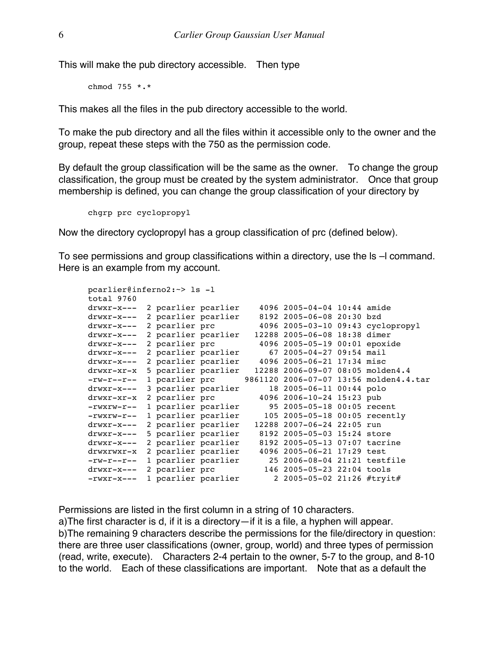This will make the pub directory accessible. Then type

chmod 755 \*.\*

This makes all the files in the pub directory accessible to the world.

To make the pub directory and all the files within it accessible only to the owner and the group, repeat these steps with the 750 as the permission code.

By default the group classification will be the same as the owner. To change the group classification, the group must be created by the system administrator. Once that group membership is defined, you can change the group classification of your directory by

```
chgrp prc cyclopropyl
```
Now the directory cyclopropyl has a group classification of prc (defined below).

To see permissions and group classifications within a directory, use the ls –l command. Here is an example from my account.

| $paramer@inferno2:-> 1s -l$           |  |                     |                     |  |                                  |  |                                        |
|---------------------------------------|--|---------------------|---------------------|--|----------------------------------|--|----------------------------------------|
| total 9760                            |  |                     |                     |  |                                  |  |                                        |
| drwxr-x---                            |  | 2 pcarlier pcarlier |                     |  | 4096 2005-04-04 10:44 amide      |  |                                        |
| drwxr-x---                            |  | 2 poarlier poarlier |                     |  | 8192 2005-06-08 20:30 bzd        |  |                                        |
| drwxr-x---                            |  | 2 pcarlier prc      |                     |  |                                  |  | 4096 2005-03-10 09:43 cyclopropyl      |
| drwxr-x---                            |  | 2 pcarlier pcarlier |                     |  | 12288 2005-06-08 18:38 dimer     |  |                                        |
| drwxr-x---                            |  | 2 pcarlier prc      |                     |  | 4096 2005-05-19 00:01 epoxide    |  |                                        |
| drwxr-x---                            |  | 2 pcarlier pcarlier |                     |  | 67 2005-04-27 09:54 mail         |  |                                        |
| $drwxr-x---$                          |  |                     | 2 pcarlier pcarlier |  | 4096 2005-06-21 17:34 misc       |  |                                        |
| drwxr-xr-x                            |  |                     | 5 pcarlier pcarlier |  | 12288 2006-09-07 08:05 molden4.4 |  |                                        |
| $-\text{rw-} \text{r}$ - $-\text{r-}$ |  | 1 pcarlier prc      |                     |  |                                  |  | 9861120 2006-07-07 13:56 molden4.4.tar |
| drwxr-x---                            |  | 3 pcarlier pcarlier |                     |  | 18 2005-06-11 00:44 polo         |  |                                        |
| drwxr-xr-x                            |  | 2 pcarlier prc      |                     |  | 4096 2006-10-24 15:23 pub        |  |                                        |
| $-rwxrw-r--$                          |  | 1 pcarlier pcarlier |                     |  | 95 2005-05-18 00:05 recent       |  |                                        |
| $-rwxrw-r--$                          |  | 1 pcarlier pcarlier |                     |  | 105 2005-05-18 00:05 recently    |  |                                        |
| drwxr-x---                            |  |                     | 2 pcarlier pcarlier |  | 12288 2007-06-24 22:05 run       |  |                                        |
| $drwxr-x---$                          |  |                     | 5 pcarlier pcarlier |  | 8192 2005-05-03 15:24 store      |  |                                        |
| drwxr-x---                            |  | 2 pcarlier pcarlier |                     |  | 8192 2005-05-13 07:07 tacrine    |  |                                        |
| drwxrwxr-x                            |  | 2 pcarlier pcarlier |                     |  | 4096 2005-06-21 17:29 test       |  |                                        |
| $-\text{rw-} \text{r}$ - $-\text{r-}$ |  | 1 pcarlier pcarlier |                     |  | 25 2006-08-04 21:21 testfile     |  |                                        |
| drwxr-x---                            |  | 2 pcarlier prc      |                     |  | 146 2005-05-23 22:04 tools       |  |                                        |
| $-rwxr-x---$                          |  | 1 pcarlier pcarlier |                     |  | 2 2005-05-02 21:26 #tryit#       |  |                                        |
|                                       |  |                     |                     |  |                                  |  |                                        |

Permissions are listed in the first column in a string of 10 characters. a)The first character is d, if it is a directory—if it is a file, a hyphen will appear. b)The remaining 9 characters describe the permissions for the file/directory in question: there are three user classifications (owner, group, world) and three types of permission (read, write, execute). Characters 2-4 pertain to the owner, 5-7 to the group, and 8-10 to the world. Each of these classifications are important. Note that as a default the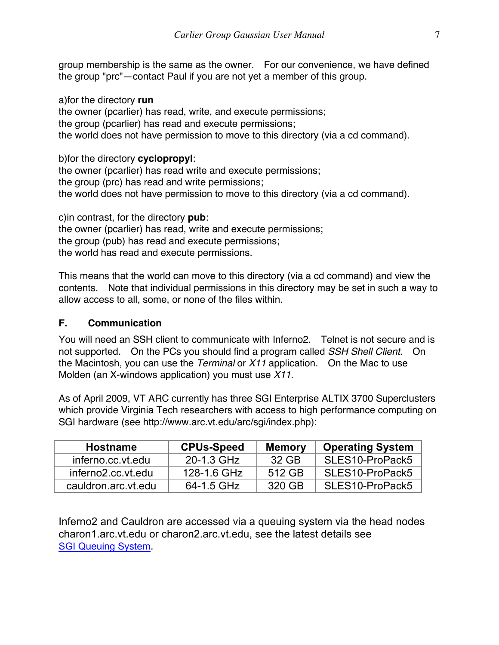group membership is the same as the owner. For our convenience, we have defined the group "prc"—contact Paul if you are not yet a member of this group.

a)for the directory **run** the owner (pcarlier) has read, write, and execute permissions; the group (pcarlier) has read and execute permissions; the world does not have permission to move to this directory (via a cd command).

b)for the directory **cyclopropyl**:

the owner (pcarlier) has read write and execute permissions; the group (prc) has read and write permissions; the world does not have permission to move to this directory (via a cd command).

c)in contrast, for the directory **pub**: the owner (pcarlier) has read, write and execute permissions; the group (pub) has read and execute permissions; the world has read and execute permissions.

This means that the world can move to this directory (via a cd command) and view the contents. Note that individual permissions in this directory may be set in such a way to allow access to all, some, or none of the files within.

### **F. Communication**

You will need an SSH client to communicate with Inferno2. Telnet is not secure and is not supported. On the PCs you should find a program called *SSH Shell Client*. On the Macintosh, you can use the *Terminal* or *X11* application. On the Mac to use Molden (an X-windows application) you must use *X11*.

As of April 2009, VT ARC currently has three SGI Enterprise ALTIX 3700 Superclusters which provide Virginia Tech researchers with access to high performance computing on SGI hardware (see http://www.arc.vt.edu/arc/sgi/index.php):

| <b>Hostname</b>     | <b>CPUs-Speed</b> | <b>Memory</b> | <b>Operating System</b> |
|---------------------|-------------------|---------------|-------------------------|
| inferno.cc.vt.edu   | 20-1.3 GHz        | 32 GB         | SLES10-ProPack5         |
| inferno2.cc.vt.edu  | 128-1.6 GHz       | 512 GB        | SLES10-ProPack5         |
| cauldron.arc.vt.edu | 64-1.5 GHz        | 320 GB        | SLES10-ProPack5         |

Inferno2 and Cauldron are accessed via a queuing system via the head nodes charon1.arc.vt.edu or charon2.arc.vt.edu, see the latest details see SGI Queuing System.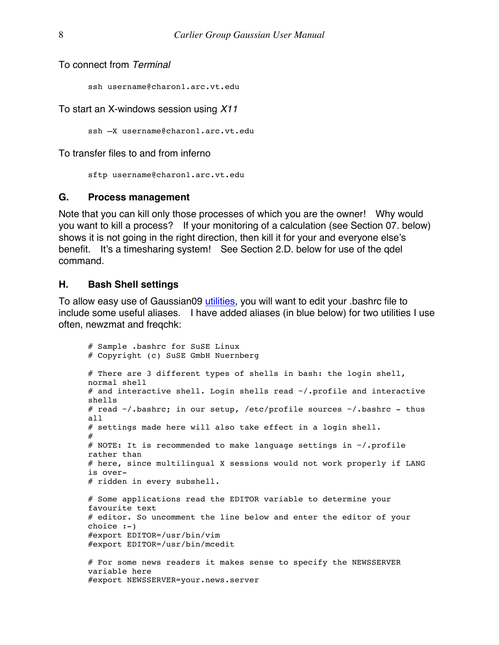To connect from *Terminal*

ssh username@charon1.arc.vt.edu

To start an X-windows session using *X11*

ssh –X username@charon1.arc.vt.edu

To transfer files to and from inferno

sftp username@charon1.arc.vt.edu

#### **G. Process management**

Note that you can kill only those processes of which you are the owner! Why would you want to kill a process? If your monitoring of a calculation (see Section 07. below) shows it is not going in the right direction, then kill it for your and everyone else's benefit. It's a timesharing system! See Section 2.D. below for use of the qdel command.

#### **H. Bash Shell settings**

To allow easy use of Gaussian09 utilities, you will want to edit your .bashrc file to include some useful aliases. I have added aliases (in blue below) for two utilities I use often, newzmat and freqchk:

```
# Sample .bashrc for SuSE Linux
# Copyright (c) SuSE GmbH Nuernberg
# There are 3 different types of shells in bash: the login shell, 
normal shell
# and interactive shell. Login shells read \sim/.profile and interactive
shells
# read ~/.bashrc; in our setup, /etc/profile sources ~/.bashrc - thus 
all
# settings made here will also take effect in a login shell.
#
# NOTE: It is recommended to make language settings in ~/.profile 
rather than
# here, since multilingual X sessions would not work properly if LANG 
is over-
# ridden in every subshell.
# Some applications read the EDITOR variable to determine your 
favourite text
# editor. So uncomment the line below and enter the editor of your 
choice :-)
#export EDITOR=/usr/bin/vim
#export EDITOR=/usr/bin/mcedit
# For some news readers it makes sense to specify the NEWSSERVER 
variable here
#export NEWSSERVER=your.news.server
```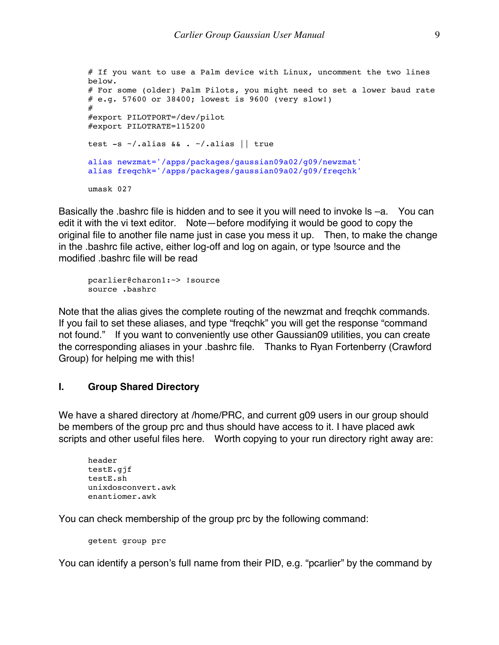```
# If you want to use a Palm device with Linux, uncomment the two lines 
below.
# For some (older) Palm Pilots, you might need to set a lower baud rate
# e.g. 57600 or 38400; lowest is 9600 (very slow!)
#
#export PILOTPORT=/dev/pilot
#export PILOTRATE=115200
test -s ~/.alias && . ~/.alias || true
alias newzmat='/apps/packages/gaussian09a02/g09/newzmat'
alias freqchk='/apps/packages/gaussian09a02/g09/freqchk'
umask 027
```
Basically the .bashrc file is hidden and to see it you will need to invoke ls –a. You can edit it with the vi text editor. Note—before modifying it would be good to copy the original file to another file name just in case you mess it up. Then, to make the change in the .bashrc file active, either log-off and log on again, or type !source and the modified .bashrc file will be read

```
pcarlier@charon1:~> !source
source .bashrc
```
Note that the alias gives the complete routing of the newzmat and freqchk commands. If you fail to set these aliases, and type "freqchk" you will get the response "command not found." If you want to conveniently use other Gaussian09 utilities, you can create the corresponding aliases in your .bashrc file. Thanks to Ryan Fortenberry (Crawford Group) for helping me with this!

#### **I. Group Shared Directory**

We have a shared directory at /home/PRC, and current g09 users in our group should be members of the group prc and thus should have access to it. I have placed awk scripts and other useful files here. Worth copying to your run directory right away are:

```
header
testE.gjf
testE.sh
unixdosconvert.awk
enantiomer.awk
```
You can check membership of the group prc by the following command:

getent group prc

You can identify a person's full name from their PID, e.g. "pcarlier" by the command by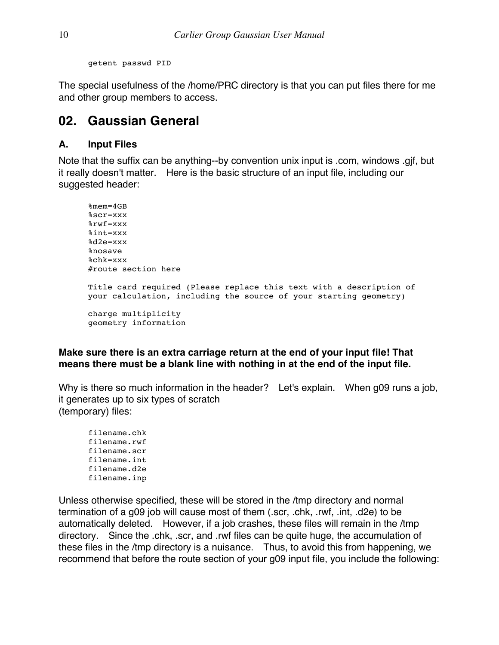getent passwd PID

The special usefulness of the /home/PRC directory is that you can put files there for me and other group members to access.

### **02. Gaussian General**

### **A. Input Files**

Note that the suffix can be anything--by convention unix input is .com, windows .gjf, but it really doesn't matter. Here is the basic structure of an input file, including our suggested header:

```
%mem=4GB
%scr=xxx
%rwf=xxx
%int=xxx
%d2e=xxx
%nosave
%chk=xxx
#route section here
Title card required (Please replace this text with a description of 
your calculation, including the source of your starting geometry)
charge multiplicity
geometry information
```
### **Make sure there is an extra carriage return at the end of your input file! That means there must be a blank line with nothing in at the end of the input file.**

Why is there so much information in the header? Let's explain. When g09 runs a job, it generates up to six types of scratch (temporary) files:

filename.chk filename.rwf filename.scr filename.int filename.d2e filename.inp

Unless otherwise specified, these will be stored in the /tmp directory and normal termination of a g09 job will cause most of them (.scr, .chk, .rwf, .int, .d2e) to be automatically deleted. However, if a job crashes, these files will remain in the /tmp directory. Since the .chk, .scr, and .rwf files can be quite huge, the accumulation of these files in the /tmp directory is a nuisance. Thus, to avoid this from happening, we recommend that before the route section of your g09 input file, you include the following: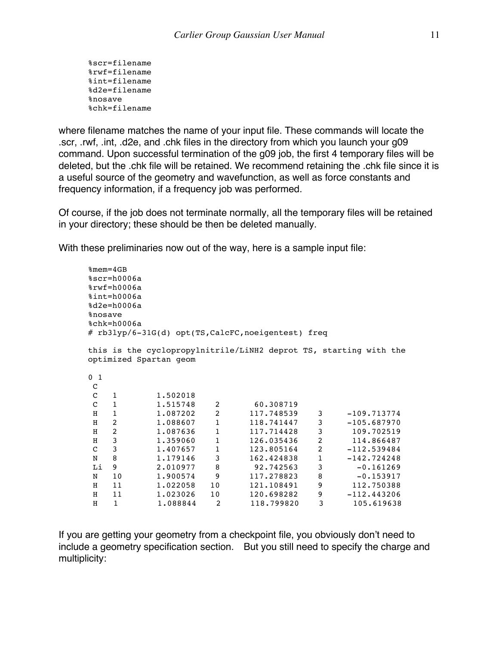%scr=filename %rwf=filename %int=filename %d2e=filename %nosave %chk=filename

where filename matches the name of your input file. These commands will locate the .scr, .rwf, .int, .d2e, and .chk files in the directory from which you launch your g09 command. Upon successful termination of the g09 job, the first 4 temporary files will be deleted, but the .chk file will be retained. We recommend retaining the .chk file since it is a useful source of the geometry and wavefunction, as well as force constants and frequency information, if a frequency job was performed.

Of course, if the job does not terminate normally, all the temporary files will be retained in your directory; these should be then be deleted manually.

With these preliminaries now out of the way, here is a sample input file:

```
%mem=4GB
%scr=h0006a
%rwf=h0006a
%int=h0006a
%d2e=h0006a
%nosave
%chk=h0006a
# rb3lyp/6-31G(d) opt(TS,CalcFC,noeigentest) freq
this is the cyclopropylnitrile/LiNH2 deprot TS, starting with the 
optimized Spartan geom
0 1
C
C 1 1.502018
C 1 1.515748 2 60.308719
H 1 1.087202 2 117.748539 3 -109.713774
H 2 1.088607 1 118.741447 3 -105.687970
H 2 1.087636 1 117.714428 3 109.702519
H 3 1.359060 1 126.035436 2 114.866487
C 3 1.407657 1 123.805164 2 -112.539484
N 8 1.179146 3 162.424838 1 -142.724248
Li 9 2.010977 8 92.742563 3 -0.161269
N 10 1.900574 9 117.278823 8 -0.153917
H 11 1.022058 10 121.108491 9 112.750388
H 11 1.023026 10 120.698282 9 -112.443206
H 1 1.088844 2 118.799820 3 105.619638
```
If you are getting your geometry from a checkpoint file, you obviously don't need to include a geometry specification section. But you still need to specify the charge and multiplicity: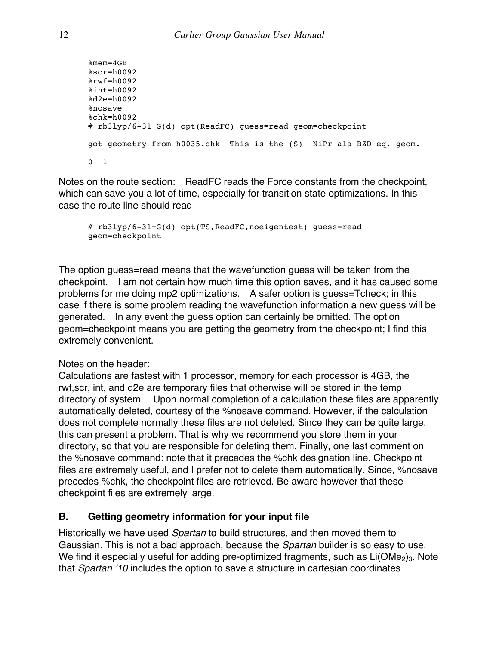```
%mem=4GB
%scr=h0092
%rwf=h0092
%int=h0092
%d2e=h0092
%nosave
%chk=h0092
# rb3lyp/6-31+G(d) opt(ReadFC) guess=read geom=checkpoint 
got geometry from h0035.chk This is the (S) NiPr ala BZD eq. geom. 
0 1
```
Notes on the route section: ReadFC reads the Force constants from the checkpoint, which can save you a lot of time, especially for transition state optimizations. In this case the route line should read

```
# rb3lyp/6-31+G(d) opt(TS,ReadFC,noeigentest) guess=read 
geom=checkpoint
```
The option guess=read means that the wavefunction guess will be taken from the checkpoint. I am not certain how much time this option saves, and it has caused some problems for me doing mp2 optimizations. A safer option is guess=Tcheck; in this case if there is some problem reading the wavefunction information a new guess will be generated. In any event the guess option can certainly be omitted. The option geom=checkpoint means you are getting the geometry from the checkpoint; I find this extremely convenient.

Notes on the header:

Calculations are fastest with 1 processor, memory for each processor is 4GB, the rwf,scr, int, and d2e are temporary files that otherwise will be stored in the temp directory of system. Upon normal completion of a calculation these files are apparently automatically deleted, courtesy of the %nosave command. However, if the calculation does not complete normally these files are not deleted. Since they can be quite large, this can present a problem. That is why we recommend you store them in your directory, so that you are responsible for deleting them. Finally, one last comment on the %nosave command: note that it precedes the %chk designation line. Checkpoint files are extremely useful, and I prefer not to delete them automatically. Since, %nosave precedes %chk, the checkpoint files are retrieved. Be aware however that these checkpoint files are extremely large.

### **B. Getting geometry information for your input file**

Historically we have used *Spartan* to build structures, and then moved them to Gaussian. This is not a bad approach, because the *Spartan* builder is so easy to use. We find it especially useful for adding pre-optimized fragments, such as  $Li(OMe<sub>2</sub>)<sub>3</sub>$ . Note that *Spartan '10* includes the option to save a structure in cartesian coordinates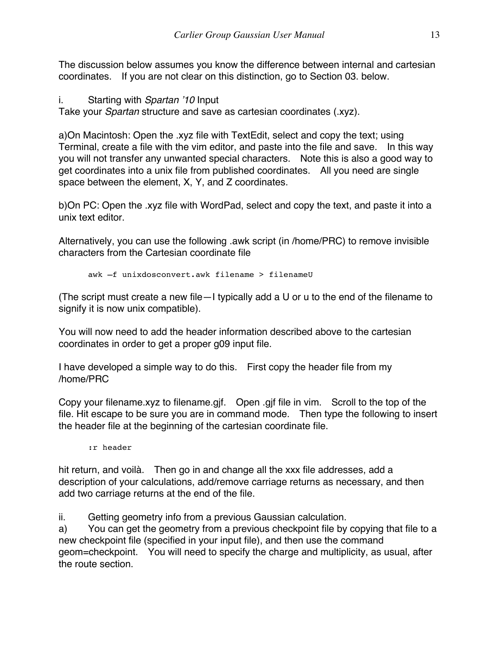The discussion below assumes you know the difference between internal and cartesian coordinates. If you are not clear on this distinction, go to Section 03. below.

i. Starting with *Spartan '10* Input

Take your *Spartan* structure and save as cartesian coordinates (.xyz).

a)On Macintosh: Open the .xyz file with TextEdit, select and copy the text; using Terminal, create a file with the vim editor, and paste into the file and save. In this way you will not transfer any unwanted special characters. Note this is also a good way to get coordinates into a unix file from published coordinates. All you need are single space between the element, X, Y, and Z coordinates.

b)On PC: Open the .xyz file with WordPad, select and copy the text, and paste it into a unix text editor.

Alternatively, you can use the following .awk script (in /home/PRC) to remove invisible characters from the Cartesian coordinate file

awk –f unixdosconvert.awk filename > filenameU

(The script must create a new file—I typically add a U or u to the end of the filename to signify it is now unix compatible).

You will now need to add the header information described above to the cartesian coordinates in order to get a proper g09 input file.

I have developed a simple way to do this. First copy the header file from my /home/PRC

Copy your filename.xyz to filename.gjf. Open .gjf file in vim. Scroll to the top of the file. Hit escape to be sure you are in command mode. Then type the following to insert the header file at the beginning of the cartesian coordinate file.

:r header

hit return, and voilà. Then go in and change all the xxx file addresses, add a description of your calculations, add/remove carriage returns as necessary, and then add two carriage returns at the end of the file.

ii. Getting geometry info from a previous Gaussian calculation.

a) You can get the geometry from a previous checkpoint file by copying that file to a new checkpoint file (specified in your input file), and then use the command geom=checkpoint. You will need to specify the charge and multiplicity, as usual, after the route section.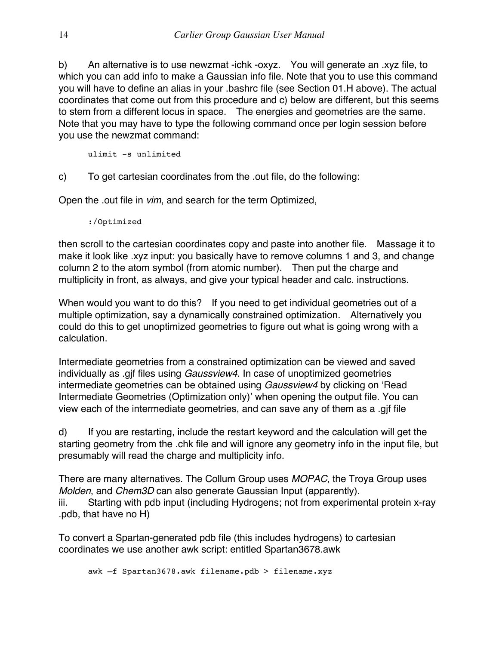b) An alternative is to use newzmat -ichk -oxyz. You will generate an .xyz file, to which you can add info to make a Gaussian info file. Note that you to use this command you will have to define an alias in your .bashrc file (see Section 01.H above). The actual coordinates that come out from this procedure and c) below are different, but this seems to stem from a different locus in space. The energies and geometries are the same. Note that you may have to type the following command once per login session before you use the newzmat command:

ulimit -s unlimited

c) To get cartesian coordinates from the .out file, do the following:

Open the .out file in *vim*, and search for the term Optimized,

:/Optimized

then scroll to the cartesian coordinates copy and paste into another file. Massage it to make it look like .xyz input: you basically have to remove columns 1 and 3, and change column 2 to the atom symbol (from atomic number). Then put the charge and multiplicity in front, as always, and give your typical header and calc. instructions.

When would you want to do this? If you need to get individual geometries out of a multiple optimization, say a dynamically constrained optimization. Alternatively you could do this to get unoptimized geometries to figure out what is going wrong with a calculation.

Intermediate geometries from a constrained optimization can be viewed and saved individually as .gjf files using *Gaussview4*. In case of unoptimized geometries intermediate geometries can be obtained using *Gaussview4* by clicking on 'Read Intermediate Geometries (Optimization only)' when opening the output file. You can view each of the intermediate geometries, and can save any of them as a .gjf file

d) If you are restarting, include the restart keyword and the calculation will get the starting geometry from the .chk file and will ignore any geometry info in the input file, but presumably will read the charge and multiplicity info.

There are many alternatives. The Collum Group uses *MOPAC*, the Troya Group uses *Molden*, and *Chem3D* can also generate Gaussian Input (apparently). iii. Starting with pdb input (including Hydrogens; not from experimental protein x-ray .pdb, that have no H)

To convert a Spartan-generated pdb file (this includes hydrogens) to cartesian coordinates we use another awk script: entitled Spartan3678.awk

awk –f Spartan3678.awk filename.pdb > filename.xyz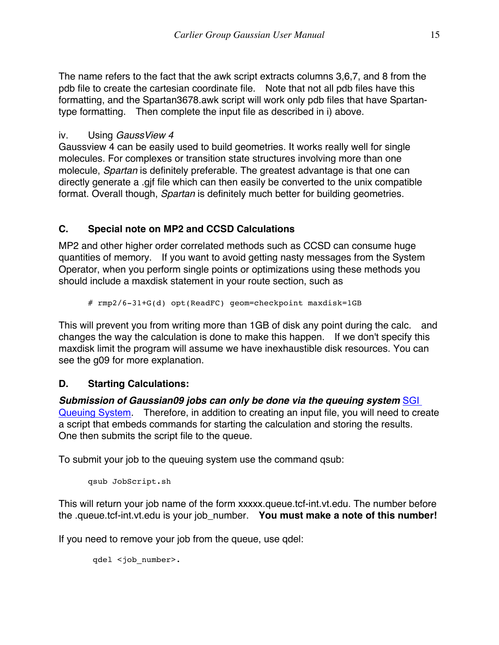The name refers to the fact that the awk script extracts columns 3,6,7, and 8 from the pdb file to create the cartesian coordinate file. Note that not all pdb files have this formatting, and the Spartan3678.awk script will work only pdb files that have Spartantype formatting. Then complete the input file as described in i) above.

### iv. Using *GaussView 4*

Gaussview 4 can be easily used to build geometries. It works really well for single molecules. For complexes or transition state structures involving more than one molecule, *Spartan* is definitely preferable. The greatest advantage is that one can directly generate a .gjf file which can then easily be converted to the unix compatible format. Overall though, *Spartan* is definitely much better for building geometries.

### **C. Special note on MP2 and CCSD Calculations**

MP2 and other higher order correlated methods such as CCSD can consume huge quantities of memory. If you want to avoid getting nasty messages from the System Operator, when you perform single points or optimizations using these methods you should include a maxdisk statement in your route section, such as

# rmp2/6-31+G(d) opt(ReadFC) geom=checkpoint maxdisk=1GB

This will prevent you from writing more than 1GB of disk any point during the calc. and changes the way the calculation is done to make this happen. If we don't specify this maxdisk limit the program will assume we have inexhaustible disk resources. You can see the g09 for more explanation.

### **D. Starting Calculations:**

*Submission of Gaussian09 jobs can only be done via the queuing system* SGI Queuing System. Therefore, in addition to creating an input file, you will need to create a script that embeds commands for starting the calculation and storing the results. One then submits the script file to the queue.

To submit your job to the queuing system use the command qsub:

```
qsub JobScript.sh
```
This will return your job name of the form xxxxx.queue.tcf-int.vt.edu. The number before the .queue.tcf-int.vt.edu is your job\_number. **You must make a note of this number!**

If you need to remove your job from the queue, use qdel:

```
 qdel <job_number>.
```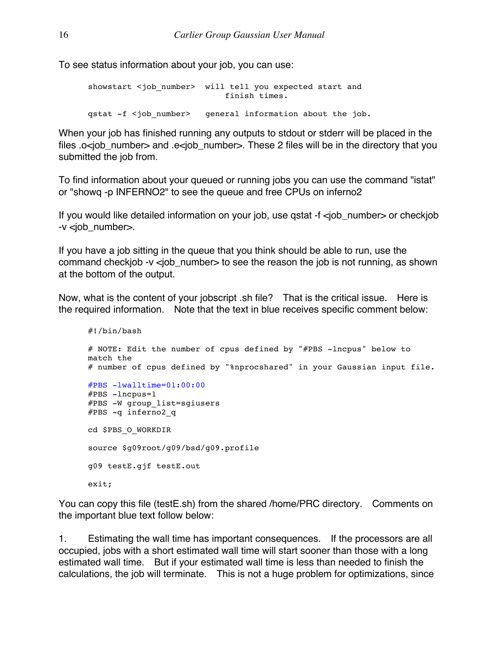To see status information about your job, you can use:

```
showstart <job_number> will tell you expected start and
                            finish times.
qstat -f <job number> qeneral information about the job.
```
When your job has finished running any outputs to stdout or stderr will be placed in the files .o<iob number> and .e<iob number>. These 2 files will be in the directory that you submitted the job from.

To find information about your queued or running jobs you can use the command "istat" or "showq -p INFERNO2" to see the queue and free CPUs on inferno2

If you would like detailed information on your job, use qstat -f <job number> or checkjob -v <job\_number>.

If you have a job sitting in the queue that you think should be able to run, use the command checkjob -v <job number> to see the reason the job is not running, as shown at the bottom of the output.

Now, what is the content of your jobscript .sh file? That is the critical issue. Here is the required information. Note that the text in blue receives specific comment below:

```
#!/bin/bash
# NOTE: Edit the number of cpus defined by "#PBS -lncpus" below to 
match the
# number of cpus defined by "%nprocshared" in your Gaussian input file.
#PBS -lwalltime=01:00:00
#PBS -lncpus=1#PBS -W group_list=sgiusers
#PBS -q inferno2_q
cd $PBS_O_WORKDIR 
source $g09root/g09/bsd/g09.profile
g09 testE.gjf testE.out
exit;
```
You can copy this file (testE.sh) from the shared /home/PRC directory. Comments on the important blue text follow below:

1. Estimating the wall time has important consequences. If the processors are all occupied, jobs with a short estimated wall time will start sooner than those with a long estimated wall time. But if your estimated wall time is less than needed to finish the calculations, the job will terminate. This is not a huge problem for optimizations, since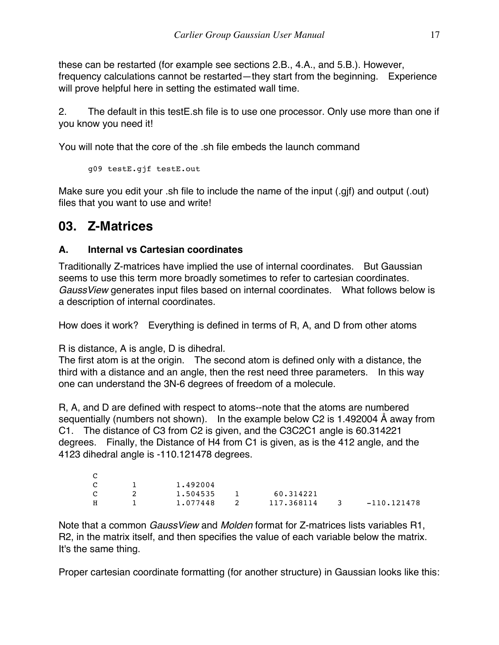these can be restarted (for example see sections 2.B., 4.A., and 5.B.). However, frequency calculations cannot be restarted—they start from the beginning. Experience will prove helpful here in setting the estimated wall time.

2. The default in this testE.sh file is to use one processor. Only use more than one if you know you need it!

You will note that the core of the .sh file embeds the launch command

g09 testE.gjf testE.out

Make sure you edit your .sh file to include the name of the input (.gjf) and output (.out) files that you want to use and write!

### **03. Z-Matrices**

### **A. Internal vs Cartesian coordinates**

Traditionally Z-matrices have implied the use of internal coordinates. But Gaussian seems to use this term more broadly sometimes to refer to cartesian coordinates. *GaussView* generates input files based on internal coordinates. What follows below is a description of internal coordinates.

How does it work? Everything is defined in terms of R, A, and D from other atoms

R is distance, A is angle, D is dihedral.

The first atom is at the origin. The second atom is defined only with a distance, the third with a distance and an angle, then the rest need three parameters. In this way one can understand the 3N-6 degrees of freedom of a molecule.

R, A, and D are defined with respect to atoms--note that the atoms are numbered sequentially (numbers not shown). In the example below C2 is 1.492004 Å away from C1. The distance of C3 from C2 is given, and the C3C2C1 angle is 60.314221 degrees. Finally, the Distance of H4 from C1 is given, as is the 412 angle, and the 4123 dihedral angle is -110.121478 degrees.

| C |          |            |               |               |
|---|----------|------------|---------------|---------------|
| C | 1,492004 |            |               |               |
| C | 1,504535 | 60.314221  |               |               |
| н | 1.077448 | 117,368114 | $\mathcal{R}$ | $-110.121478$ |

Note that a common *GaussView* and *Molden* format for Z-matrices lists variables R1, R2, in the matrix itself, and then specifies the value of each variable below the matrix. It's the same thing.

Proper cartesian coordinate formatting (for another structure) in Gaussian looks like this: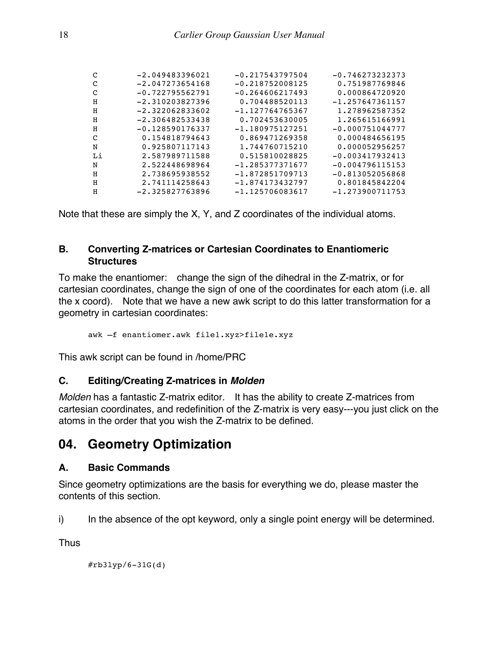| $-2.049483396021$ | $-0.217543797504$ | $-0.746273232373$ |
|-------------------|-------------------|-------------------|
| $-2.047273654168$ | $-0.218752008125$ | 0.751987769846    |
| $-0.722795562791$ | $-0.264606217493$ | 0.000864720920    |
| $-2.310203827396$ | 0.704488520113    | $-1.257647361157$ |
| $-2.322062833602$ | $-1.127764765367$ | 1.278962587352    |
| $-2.306482533438$ | 0.702453630005    | 1.265615166991    |
| $-0.128590176337$ | $-1.180975127251$ | $-0.000751044777$ |
| 0.154818794643    | 0.869471269358    | 0.000484656195    |
| 0.925807117143    | 1.744760715210    | 0.000052956257    |
| 2.587989711588    | 0.515810028825    | $-0.003417932413$ |
| 2.522448698964    | $-1.285377371677$ | $-0.004796115153$ |
| 2.738695938552    | $-1.872851709713$ | $-0.813052056868$ |
| 2.741114258643    | $-1.874173432797$ | 0.801845842204    |
| $-2.325827763896$ | $-1.125706083617$ | $-1.273900711753$ |
|                   |                   |                   |

Note that these are simply the X, Y, and Z coordinates of the individual atoms.

### **B. Converting Z-matrices or Cartesian Coordinates to Enantiomeric Structures**

To make the enantiomer: change the sign of the dihedral in the Z-matrix, or for cartesian coordinates, change the sign of one of the coordinates for each atom (i.e. all the x coord). Note that we have a new awk script to do this latter transformation for a geometry in cartesian coordinates:

awk –f enantiomer.awk file1.xyz>file1e.xyz

This awk script can be found in /home/PRC

### **C. Editing/Creating Z-matrices in** *Molden*

*Molden* has a fantastic Z-matrix editor. It has the ability to create Z-matrices from cartesian coordinates, and redefinition of the Z-matrix is very easy---you just click on the atoms in the order that you wish the Z-matrix to be defined.

### **04. Geometry Optimization**

#### **A. Basic Commands**

Since geometry optimizations are the basis for everything we do, please master the contents of this section.

i) In the absence of the opt keyword, only a single point energy will be determined.

**Thus** 

#rb3lyp/6-31G(d)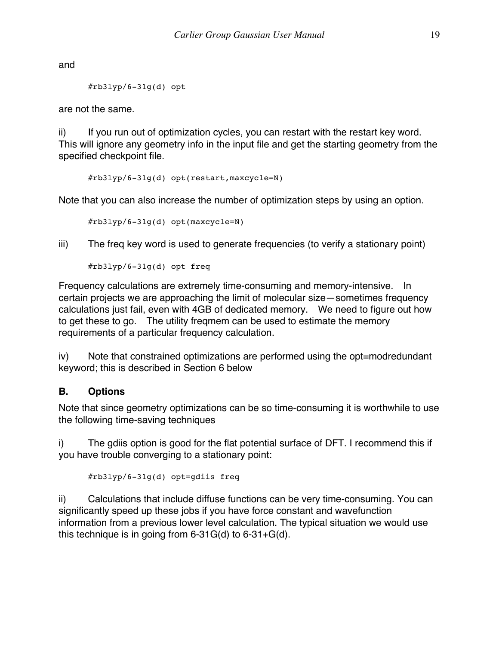and

```
#rb3lyp/6-31q(d) opt
```
are not the same.

ii) If you run out of optimization cycles, you can restart with the restart key word. This will ignore any geometry info in the input file and get the starting geometry from the specified checkpoint file.

```
#rb3lyp/6-31g(d) opt(restart,maxcycle=N)
```
Note that you can also increase the number of optimization steps by using an option.

#rb3lyp/6-31g(d) opt(maxcycle=N)

iii) The freq key word is used to generate frequencies (to verify a stationary point)

#rb3lyp/6-31g(d) opt freq

Frequency calculations are extremely time-consuming and memory-intensive. In certain projects we are approaching the limit of molecular size—sometimes frequency calculations just fail, even with 4GB of dedicated memory. We need to figure out how to get these to go. The utility freqmem can be used to estimate the memory requirements of a particular frequency calculation.

iv) Note that constrained optimizations are performed using the opt=modredundant keyword; this is described in Section 6 below

### **B. Options**

Note that since geometry optimizations can be so time-consuming it is worthwhile to use the following time-saving techniques

i) The gdiis option is good for the flat potential surface of DFT. I recommend this if you have trouble converging to a stationary point:

```
#rb3lyp/6-31g(d) opt=gdiis freq
```
ii) Calculations that include diffuse functions can be very time-consuming. You can significantly speed up these jobs if you have force constant and wavefunction information from a previous lower level calculation. The typical situation we would use this technique is in going from 6-31G(d) to 6-31+G(d).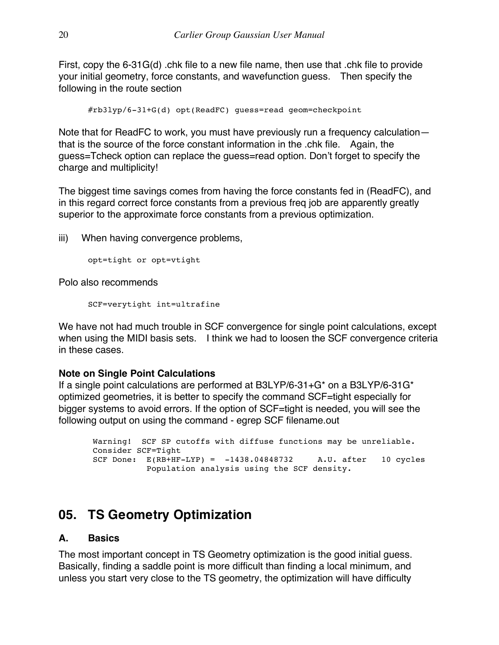First, copy the 6-31G(d) .chk file to a new file name, then use that .chk file to provide your initial geometry, force constants, and wavefunction guess. Then specify the following in the route section

#rb3lyp/6-31+G(d) opt(ReadFC) guess=read geom=checkpoint

Note that for ReadFC to work, you must have previously run a frequency calculation that is the source of the force constant information in the .chk file. Again, the guess=Tcheck option can replace the guess=read option. Don't forget to specify the charge and multiplicity!

The biggest time savings comes from having the force constants fed in (ReadFC), and in this regard correct force constants from a previous freq job are apparently greatly superior to the approximate force constants from a previous optimization.

iii) When having convergence problems,

```
opt=tight or opt=vtight
```
Polo also recommends

SCF=verytight int=ultrafine

We have not had much trouble in SCF convergence for single point calculations, except when using the MIDI basis sets. I think we had to loosen the SCF convergence criteria in these cases.

### **Note on Single Point Calculations**

If a single point calculations are performed at B3LYP/6-31+G\* on a B3LYP/6-31G\* optimized geometries, it is better to specify the command SCF=tight especially for bigger systems to avoid errors. If the option of SCF=tight is needed, you will see the following output on using the command - egrep SCF filename.out

Warning! SCF SP cutoffs with diffuse functions may be unreliable. Consider SCF=Tight SCF Done:  $E(RB+HF-LYP) = -1438.04848732$  A.U. after 10 cycles Population analysis using the SCF density.

### **05. TS Geometry Optimization**

### **A. Basics**

The most important concept in TS Geometry optimization is the good initial guess. Basically, finding a saddle point is more difficult than finding a local minimum, and unless you start very close to the TS geometry, the optimization will have difficulty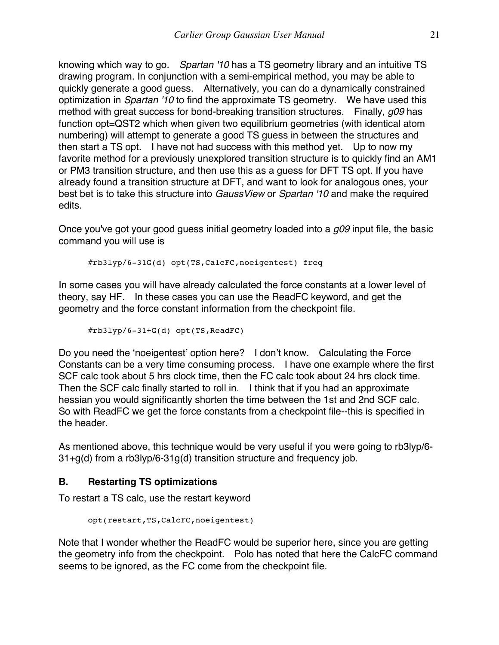knowing which way to go. *Spartan '10* has a TS geometry library and an intuitive TS drawing program. In conjunction with a semi-empirical method, you may be able to quickly generate a good guess. Alternatively, you can do a dynamically constrained optimization in *Spartan '10* to find the approximate TS geometry. We have used this method with great success for bond-breaking transition structures. Finally, *g09* has function opt=QST2 which when given two equilibrium geometries (with identical atom numbering) will attempt to generate a good TS guess in between the structures and then start a TS opt. I have not had success with this method yet. Up to now my favorite method for a previously unexplored transition structure is to quickly find an AM1 or PM3 transition structure, and then use this as a guess for DFT TS opt. If you have already found a transition structure at DFT, and want to look for analogous ones, your best bet is to take this structure into *GaussView* or *Spartan '10* and make the required edits.

Once you've got your good guess initial geometry loaded into a *g09* input file, the basic command you will use is

#rb3lyp/6-31G(d) opt(TS,CalcFC,noeigentest) freq

In some cases you will have already calculated the force constants at a lower level of theory, say HF. In these cases you can use the ReadFC keyword, and get the geometry and the force constant information from the checkpoint file.

```
#rb3lyp/6-31+G(d) opt(TS,ReadFC)
```
Do you need the 'noeigentest' option here? I don't know. Calculating the Force Constants can be a very time consuming process. I have one example where the first SCF calc took about 5 hrs clock time, then the FC calc took about 24 hrs clock time. Then the SCF calc finally started to roll in. I think that if you had an approximate hessian you would significantly shorten the time between the 1st and 2nd SCF calc. So with ReadFC we get the force constants from a checkpoint file--this is specified in the header.

As mentioned above, this technique would be very useful if you were going to rb3lyp/6- 31+g(d) from a rb3lyp/6-31g(d) transition structure and frequency job.

### **B. Restarting TS optimizations**

To restart a TS calc, use the restart keyword

```
opt(restart,TS,CalcFC,noeigentest)
```
Note that I wonder whether the ReadFC would be superior here, since you are getting the geometry info from the checkpoint. Polo has noted that here the CalcFC command seems to be ignored, as the FC come from the checkpoint file.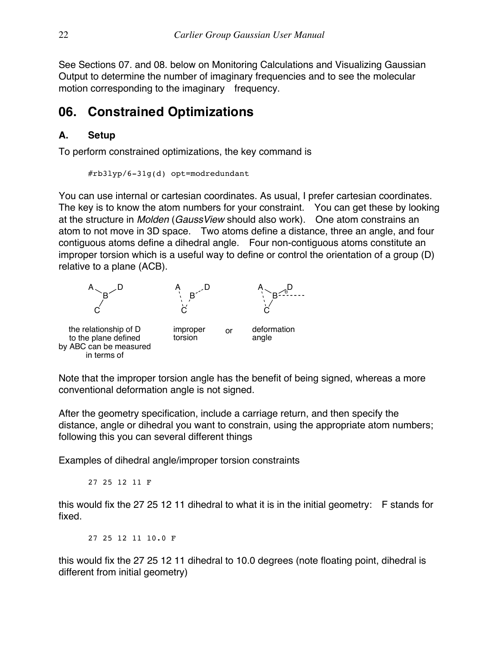See Sections 07. and 08. below on Monitoring Calculations and Visualizing Gaussian Output to determine the number of imaginary frequencies and to see the molecular motion corresponding to the imaginary frequency.

### **06. Constrained Optimizations**

### **A. Setup**

To perform constrained optimizations, the key command is

```
#rb3lyp/6-31g(d) opt=modredundant
```
You can use internal or cartesian coordinates. As usual, I prefer cartesian coordinates. The key is to know the atom numbers for your constraint. You can get these by looking at the structure in *Molden* (*GaussView* should also work). One atom constrains an atom to not move in 3D space. Two atoms define a distance, three an angle, and four contiguous atoms define a dihedral angle. Four non-contiguous atoms constitute an improper torsion which is a useful way to define or control the orientation of a group (D) relative to a plane (ACB).



Note that the improper torsion angle has the benefit of being signed, whereas a more conventional deformation angle is not signed.

After the geometry specification, include a carriage return, and then specify the distance, angle or dihedral you want to constrain, using the appropriate atom numbers; following this you can several different things

Examples of dihedral angle/improper torsion constraints

27 25 12 11 F

this would fix the 27 25 12 11 dihedral to what it is in the initial geometry: F stands for fixed.

27 25 12 11 10.0 F

this would fix the 27 25 12 11 dihedral to 10.0 degrees (note floating point, dihedral is different from initial geometry)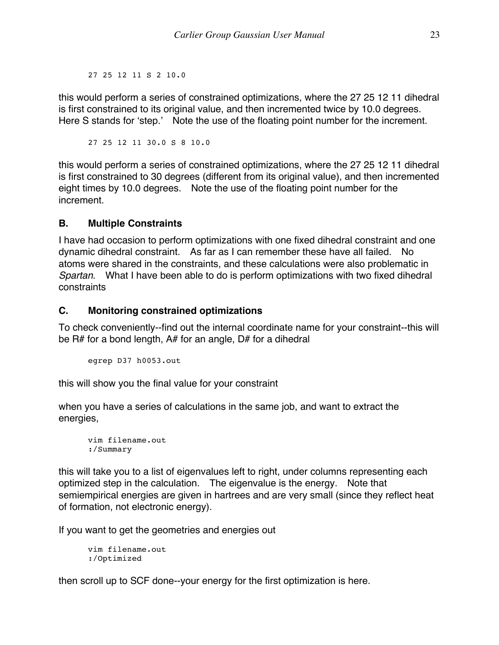27 25 12 11 S 2 10.0

this would perform a series of constrained optimizations, where the 27 25 12 11 dihedral is first constrained to its original value, and then incremented twice by 10.0 degrees. Here S stands for 'step.' Note the use of the floating point number for the increment.

27 25 12 11 30.0 S 8 10.0

this would perform a series of constrained optimizations, where the 27 25 12 11 dihedral is first constrained to 30 degrees (different from its original value), and then incremented eight times by 10.0 degrees. Note the use of the floating point number for the increment.

### **B. Multiple Constraints**

I have had occasion to perform optimizations with one fixed dihedral constraint and one dynamic dihedral constraint. As far as I can remember these have all failed. No atoms were shared in the constraints, and these calculations were also problematic in *Spartan*. What I have been able to do is perform optimizations with two fixed dihedral constraints

### **C. Monitoring constrained optimizations**

To check conveniently--find out the internal coordinate name for your constraint--this will be R# for a bond length, A# for an angle, D# for a dihedral

```
egrep D37 h0053.out
```
this will show you the final value for your constraint

when you have a series of calculations in the same job, and want to extract the energies,

```
vim filename.out
:/Summary
```
this will take you to a list of eigenvalues left to right, under columns representing each optimized step in the calculation. The eigenvalue is the energy. Note that semiempirical energies are given in hartrees and are very small (since they reflect heat of formation, not electronic energy).

If you want to get the geometries and energies out

```
vim filename.out
:/Optimized
```
then scroll up to SCF done--your energy for the first optimization is here.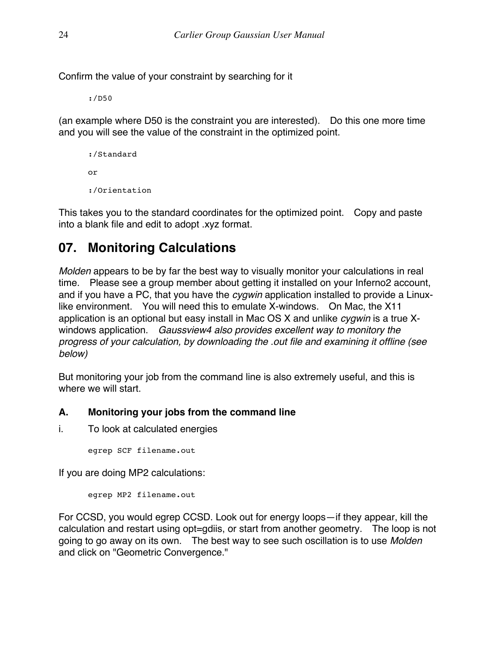Confirm the value of your constraint by searching for it

:/D50

(an example where D50 is the constraint you are interested). Do this one more time and you will see the value of the constraint in the optimized point.

```
:/Standard
or
:/Orientation
```
This takes you to the standard coordinates for the optimized point. Copy and paste into a blank file and edit to adopt .xyz format.

### **07. Monitoring Calculations**

*Molden* appears to be by far the best way to visually monitor your calculations in real time. Please see a group member about getting it installed on your Inferno2 account, and if you have a PC, that you have the *cygwin* application installed to provide a Linuxlike environment. You will need this to emulate X-windows. On Mac, the X11 application is an optional but easy install in Mac OS X and unlike *cygwin* is a true Xwindows application. *Gaussview4 also provides excellent way to monitory the progress of your calculation, by downloading the .out file and examining it offline (see below)* 

But monitoring your job from the command line is also extremely useful, and this is where we will start.

### **A. Monitoring your jobs from the command line**

i. To look at calculated energies

egrep SCF filename.out

If you are doing MP2 calculations:

egrep MP2 filename.out

For CCSD, you would egrep CCSD. Look out for energy loops—if they appear, kill the calculation and restart using opt=gdiis, or start from another geometry. The loop is not going to go away on its own. The best way to see such oscillation is to use *Molden* and click on "Geometric Convergence."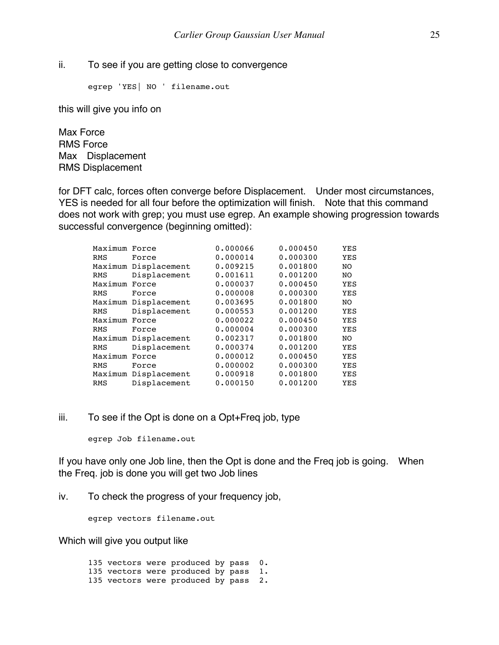ii. To see if you are getting close to convergence

egrep 'YES| NO ' filename.out

this will give you info on

Max Force RMS Force Max Displacement RMS Displacement

for DFT calc, forces often converge before Displacement. Under most circumstances, YES is needed for all four before the optimization will finish. Note that this command does not work with grep; you must use egrep. An example showing progression towards successful convergence (beginning omitted):

| Maximum Force |                      | 0.000066 | 0.000450 | YES        |
|---------------|----------------------|----------|----------|------------|
| RMS           | Force                | 0.000014 | 0.000300 | YES        |
|               | Maximum Displacement | 0.009215 | 0.001800 | NO         |
| RMS           | Displacement         | 0.001611 | 0.001200 | NO.        |
| Maximum Force |                      | 0.000037 | 0.000450 | YES        |
| RMS           | Force                | 0.000008 | 0.000300 | <b>YES</b> |
|               | Maximum Displacement | 0.003695 | 0.001800 | NO.        |
| RMS           | Displacement         | 0.000553 | 0.001200 | YES        |
| Maximum Force |                      | 0.000022 | 0.000450 | <b>YES</b> |
| RMS           | Force                | 0.000004 | 0.000300 | <b>YES</b> |
|               | Maximum Displacement | 0.002317 | 0.001800 | NO.        |
| RMS           | Displacement         | 0.000374 | 0.001200 | <b>YES</b> |
| Maximum       | Force                | 0.000012 | 0.000450 | YES        |
| RMS           | Force                | 0.000002 | 0.000300 | YES        |
|               | Maximum Displacement | 0.000918 | 0.001800 | YES        |
| RMS           | Displacement         | 0.000150 | 0.001200 | YES        |

#### iii. To see if the Opt is done on a Opt+Freq job, type

egrep Job filename.out

If you have only one Job line, then the Opt is done and the Freq job is going. When the Freq. job is done you will get two Job lines

iv. To check the progress of your frequency job,

egrep vectors filename.out

Which will give you output like

135 vectors were produced by pass 0. 135 vectors were produced by pass 1. 135 vectors were produced by pass 2.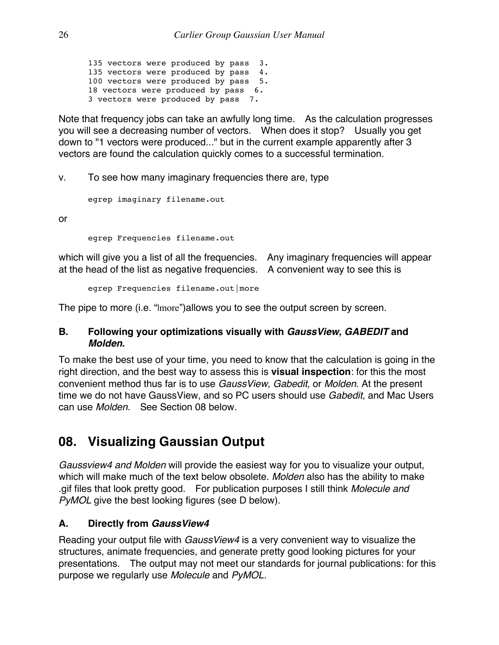135 vectors were produced by pass 3. 135 vectors were produced by pass 4. 100 vectors were produced by pass 5. 18 vectors were produced by pass 6. 3 vectors were produced by pass 7.

Note that frequency jobs can take an awfully long time. As the calculation progresses you will see a decreasing number of vectors. When does it stop? Usually you get down to "1 vectors were produced..." but in the current example apparently after 3 vectors are found the calculation quickly comes to a successful termination.

v. To see how many imaginary frequencies there are, type

egrep imaginary filename.out

or

egrep Frequencies filename.out

which will give you a list of all the frequencies. Any imaginary frequencies will appear at the head of the list as negative frequencies. A convenient way to see this is

egrep Frequencies filename.out|more

The pipe to more (i.e. "|more")allows you to see the output screen by screen.

### **B. Following your optimizations visually with** *GaussView, GABEDIT* **and**  *Molden***.**

To make the best use of your time, you need to know that the calculation is going in the right direction, and the best way to assess this is **visual inspection**: for this the most convenient method thus far is to use *GaussView, Gabedit,* or *Molden*. At the present time we do not have GaussView, and so PC users should use *Gabedit*, and Mac Users can use *Molden*. See Section 08 below.

### **08. Visualizing Gaussian Output**

*Gaussview4 and Molden* will provide the easiest way for you to visualize your output, which will make much of the text below obsolete. *Molden* also has the ability to make .gif files that look pretty good. For publication purposes I still think *Molecule and PyMOL* give the best looking figures (see D below).

### **A. Directly from** *GaussView4*

Reading your output file with *GaussView4* is a very convenient way to visualize the structures, animate frequencies, and generate pretty good looking pictures for your presentations. The output may not meet our standards for journal publications: for this purpose we regularly use *Molecule* and *PyMOL.*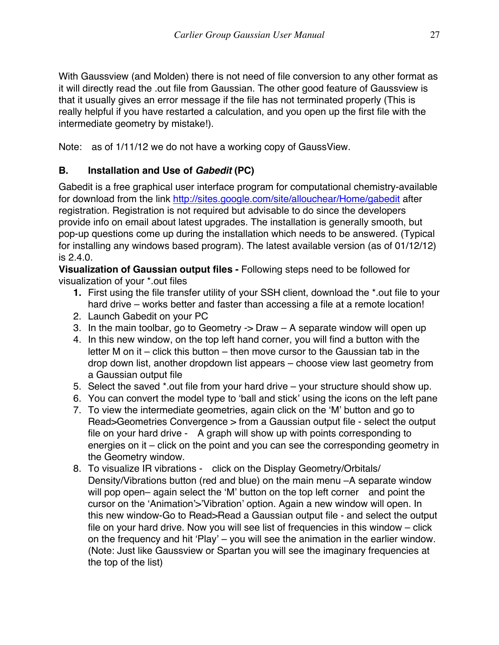With Gaussview (and Molden) there is not need of file conversion to any other format as it will directly read the .out file from Gaussian. The other good feature of Gaussview is that it usually gives an error message if the file has not terminated properly (This is really helpful if you have restarted a calculation, and you open up the first file with the intermediate geometry by mistake!).

Note: as of 1/11/12 we do not have a working copy of GaussView.

### **B. Installation and Use of** *Gabedit* **(PC)**

Gabedit is a free graphical user interface program for computational chemistry-available for download from the link http://sites.google.com/site/allouchear/Home/gabedit after registration. Registration is not required but advisable to do since the developers provide info on email about latest upgrades. The installation is generally smooth, but pop-up questions come up during the installation which needs to be answered. (Typical for installing any windows based program). The latest available version (as of 01/12/12) is 2.4.0.

**Visualization of Gaussian output files -** Following steps need to be followed for visualization of your \*.out files

- **1.** First using the file transfer utility of your SSH client, download the \*.out file to your hard drive – works better and faster than accessing a file at a remote location!
- 2. Launch Gabedit on your PC
- 3. In the main toolbar, go to Geometry -> Draw A separate window will open up
- 4. In this new window, on the top left hand corner, you will find a button with the letter M on it – click this button – then move cursor to the Gaussian tab in the drop down list, another dropdown list appears – choose view last geometry from a Gaussian output file
- 5. Select the saved \*.out file from your hard drive your structure should show up.
- 6. You can convert the model type to 'ball and stick' using the icons on the left pane
- 7. To view the intermediate geometries, again click on the 'M' button and go to Read>Geometries Convergence > from a Gaussian output file - select the output file on your hard drive - A graph will show up with points corresponding to energies on it – click on the point and you can see the corresponding geometry in the Geometry window.
- 8. To visualize IR vibrations click on the Display Geometry/Orbitals/ Density/Vibrations button (red and blue) on the main menu –A separate window will pop open– again select the 'M' button on the top left corner and point the cursor on the 'Animation'>'Vibration' option. Again a new window will open. In this new window-Go to Read>Read a Gaussian output file - and select the output file on your hard drive. Now you will see list of frequencies in this window – click on the frequency and hit 'Play' – you will see the animation in the earlier window. (Note: Just like Gaussview or Spartan you will see the imaginary frequencies at the top of the list)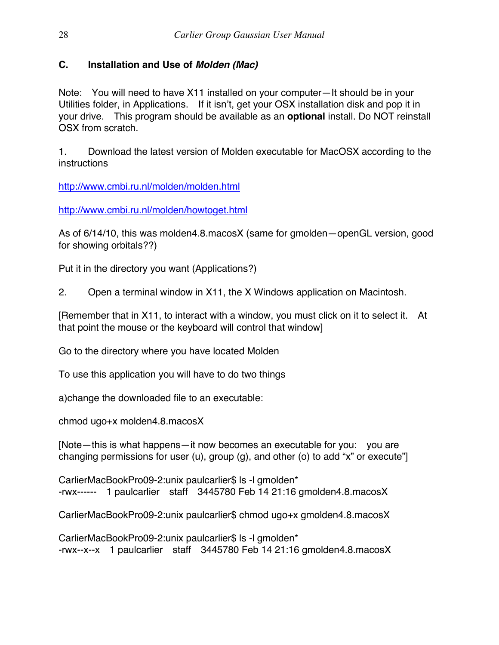### **C. Installation and Use of** *Molden (Mac)*

Note: You will need to have X11 installed on your computer—It should be in your Utilities folder, in Applications. If it isn't, get your OSX installation disk and pop it in your drive. This program should be available as an **optional** install. Do NOT reinstall OSX from scratch.

1. Download the latest version of Molden executable for MacOSX according to the instructions

http://www.cmbi.ru.nl/molden/molden.html

http://www.cmbi.ru.nl/molden/howtoget.html

As of 6/14/10, this was molden4.8.macosX (same for gmolden—openGL version, good for showing orbitals??)

Put it in the directory you want (Applications?)

2. Open a terminal window in X11, the X Windows application on Macintosh.

[Remember that in X11, to interact with a window, you must click on it to select it. At that point the mouse or the keyboard will control that window]

Go to the directory where you have located Molden

To use this application you will have to do two things

a)change the downloaded file to an executable:

chmod ugo+x molden4.8.macosX

[Note—this is what happens—it now becomes an executable for you: you are changing permissions for user (u), group (g), and other (o) to add "x" or execute"]

CarlierMacBookPro09-2:unix paulcarlier\$ ls -l gmolden\* -rwx------ 1 paulcarlier staff 3445780 Feb 14 21:16 gmolden4.8.macosX

CarlierMacBookPro09-2:unix paulcarlier\$ chmod ugo+x gmolden4.8.macosX

CarlierMacBookPro09-2:unix paulcarlier\$ ls -l gmolden\* -rwx--x--x 1 paulcarlier staff 3445780 Feb 14 21:16 gmolden4.8.macosX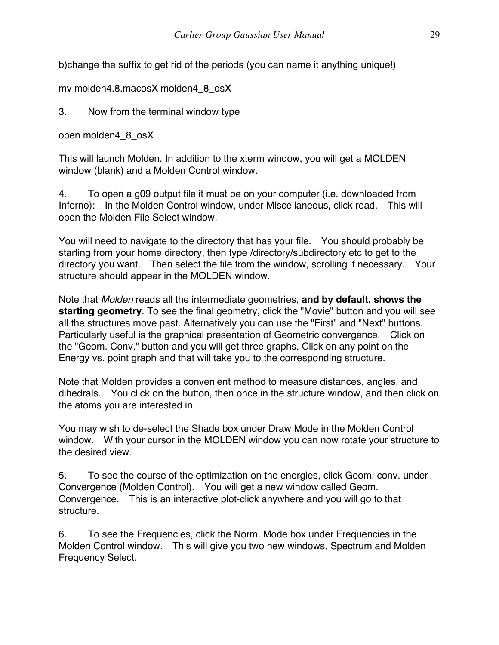b)change the suffix to get rid of the periods (you can name it anything unique!)

mv molden4.8.macosX molden4\_8\_osX

3. Now from the terminal window type

open molden4\_8\_osX

This will launch Molden. In addition to the xterm window, you will get a MOLDEN window (blank) and a Molden Control window.

4. To open a g09 output file it must be on your computer (i.e. downloaded from Inferno): In the Molden Control window, under Miscellaneous, click read. This will open the Molden File Select window.

You will need to navigate to the directory that has your file. You should probably be starting from your home directory, then type /directory/subdirectory etc to get to the directory you want. Then select the file from the window, scrolling if necessary. Your structure should appear in the MOLDEN window.

Note that *Molden* reads all the intermediate geometries, **and by default, shows the starting geometry**. To see the final geometry, click the "Movie" button and you will see all the structures move past. Alternatively you can use the "First" and "Next" buttons. Particularly useful is the graphical presentation of Geometric convergence. Click on the "Geom. Conv." button and you will get three graphs. Click on any point on the Energy vs. point graph and that will take you to the corresponding structure.

Note that Molden provides a convenient method to measure distances, angles, and dihedrals. You click on the button, then once in the structure window, and then click on the atoms you are interested in.

You may wish to de-select the Shade box under Draw Mode in the Molden Control window. With your cursor in the MOLDEN window you can now rotate your structure to the desired view.

5. To see the course of the optimization on the energies, click Geom. conv. under Convergence (Molden Control). You will get a new window called Geom. Convergence. This is an interactive plot-click anywhere and you will go to that structure.

6. To see the Frequencies, click the Norm. Mode box under Frequencies in the Molden Control window. This will give you two new windows, Spectrum and Molden Frequency Select.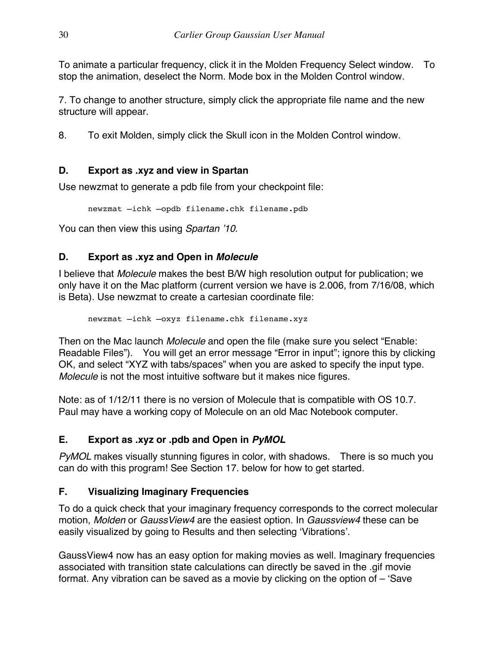To animate a particular frequency, click it in the Molden Frequency Select window. To stop the animation, deselect the Norm. Mode box in the Molden Control window.

7. To change to another structure, simply click the appropriate file name and the new structure will appear.

8. To exit Molden, simply click the Skull icon in the Molden Control window.

### **D. Export as .xyz and view in Spartan**

Use newzmat to generate a pdb file from your checkpoint file:

newzmat –ichk –opdb filename.chk filename.pdb

You can then view this using *Spartan '10*.

### **D. Export as .xyz and Open in** *Molecule*

I believe that *Molecule* makes the best B/W high resolution output for publication; we only have it on the Mac platform (current version we have is 2.006, from 7/16/08, which is Beta). Use newzmat to create a cartesian coordinate file:

newzmat –ichk –oxyz filename.chk filename.xyz

Then on the Mac launch *Molecule* and open the file (make sure you select "Enable: Readable Files"). You will get an error message "Error in input"; ignore this by clicking OK, and select "XYZ with tabs/spaces" when you are asked to specify the input type. *Molecule* is not the most intuitive software but it makes nice figures.

Note: as of 1/12/11 there is no version of Molecule that is compatible with OS 10.7. Paul may have a working copy of Molecule on an old Mac Notebook computer.

### **E. Export as .xyz or .pdb and Open in** *PyMOL*

*PyMOL* makes visually stunning figures in color, with shadows. There is so much you can do with this program! See Section 17. below for how to get started.

### **F. Visualizing Imaginary Frequencies**

To do a quick check that your imaginary frequency corresponds to the correct molecular motion, *Molden* or *GaussView4* are the easiest option. In *Gaussview4* these can be easily visualized by going to Results and then selecting 'Vibrations'.

GaussView4 now has an easy option for making movies as well. Imaginary frequencies associated with transition state calculations can directly be saved in the .gif movie format. Any vibration can be saved as a movie by clicking on the option of – 'Save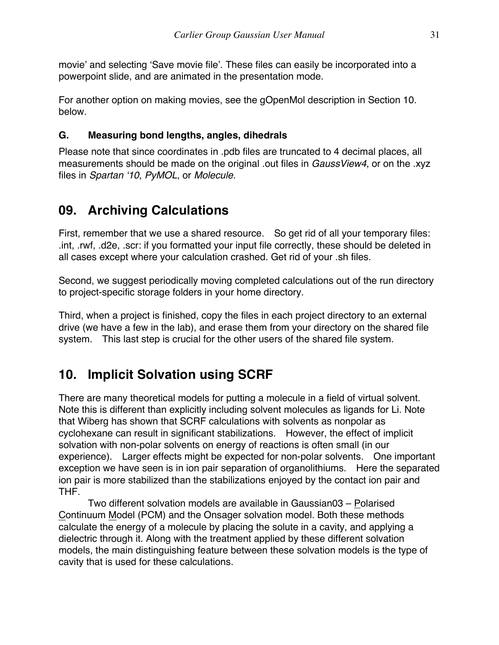movie' and selecting 'Save movie file'. These files can easily be incorporated into a powerpoint slide, and are animated in the presentation mode.

For another option on making movies, see the gOpenMol description in Section 10. below.

### **G. Measuring bond lengths, angles, dihedrals**

Please note that since coordinates in .pdb files are truncated to 4 decimal places, all measurements should be made on the original .out files in *GaussView4*, or on the .xyz files in *Spartan '10*, *PyMOL*, or *Molecule*.

### **09. Archiving Calculations**

First, remember that we use a shared resource. So get rid of all your temporary files: .int, .rwf, .d2e, .scr: if you formatted your input file correctly, these should be deleted in all cases except where your calculation crashed. Get rid of your .sh files.

Second, we suggest periodically moving completed calculations out of the run directory to project-specific storage folders in your home directory.

Third, when a project is finished, copy the files in each project directory to an external drive (we have a few in the lab), and erase them from your directory on the shared file system. This last step is crucial for the other users of the shared file system.

### **10. Implicit Solvation using SCRF**

There are many theoretical models for putting a molecule in a field of virtual solvent. Note this is different than explicitly including solvent molecules as ligands for Li. Note that Wiberg has shown that SCRF calculations with solvents as nonpolar as cyclohexane can result in significant stabilizations. However, the effect of implicit solvation with non-polar solvents on energy of reactions is often small (in our experience). Larger effects might be expected for non-polar solvents. One important exception we have seen is in ion pair separation of organolithiums. Here the separated ion pair is more stabilized than the stabilizations enjoyed by the contact ion pair and THF.

Two different solvation models are available in Gaussian03 – Polarised Continuum Model (PCM) and the Onsager solvation model. Both these methods calculate the energy of a molecule by placing the solute in a cavity, and applying a dielectric through it. Along with the treatment applied by these different solvation models, the main distinguishing feature between these solvation models is the type of cavity that is used for these calculations.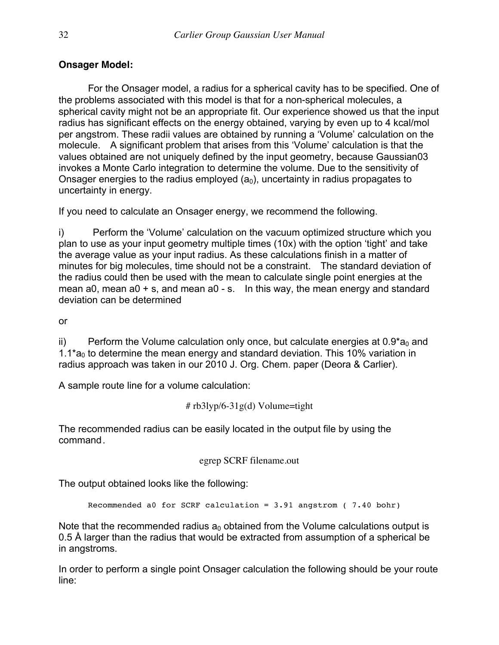### **Onsager Model:**

For the Onsager model, a radius for a spherical cavity has to be specified. One of the problems associated with this model is that for a non-spherical molecules, a spherical cavity might not be an appropriate fit. Our experience showed us that the input radius has significant effects on the energy obtained, varying by even up to 4 kcal/mol per angstrom. These radii values are obtained by running a 'Volume' calculation on the molecule. A significant problem that arises from this 'Volume' calculation is that the values obtained are not uniquely defined by the input geometry, because Gaussian03 invokes a Monte Carlo integration to determine the volume. Due to the sensitivity of Onsager energies to the radius employed  $(a_0)$ , uncertainty in radius propagates to uncertainty in energy.

If you need to calculate an Onsager energy, we recommend the following.

i) Perform the 'Volume' calculation on the vacuum optimized structure which you plan to use as your input geometry multiple times (10x) with the option 'tight' and take the average value as your input radius. As these calculations finish in a matter of minutes for big molecules, time should not be a constraint. The standard deviation of the radius could then be used with the mean to calculate single point energies at the mean a0, mean a0 + s, and mean a0 - s. In this way, the mean energy and standard deviation can be determined

or

ii) Perform the Volume calculation only once, but calculate energies at  $0.9<sup>*</sup> a<sub>0</sub>$  and 1.1 $a_0$  to determine the mean energy and standard deviation. This 10% variation in radius approach was taken in our 2010 J. Org. Chem. paper (Deora & Carlier).

A sample route line for a volume calculation:

```
#rb3lyp/6-31g(d) Volume=tight
```
The recommended radius can be easily located in the output file by using the command.

egrep SCRF filename.out

The output obtained looks like the following:

Recommended a0 for SCRF calculation = 3.91 angstrom ( 7.40 bohr)

Note that the recommended radius  $a_0$  obtained from the Volume calculations output is 0.5 Å larger than the radius that would be extracted from assumption of a spherical be in angstroms.

In order to perform a single point Onsager calculation the following should be your route line: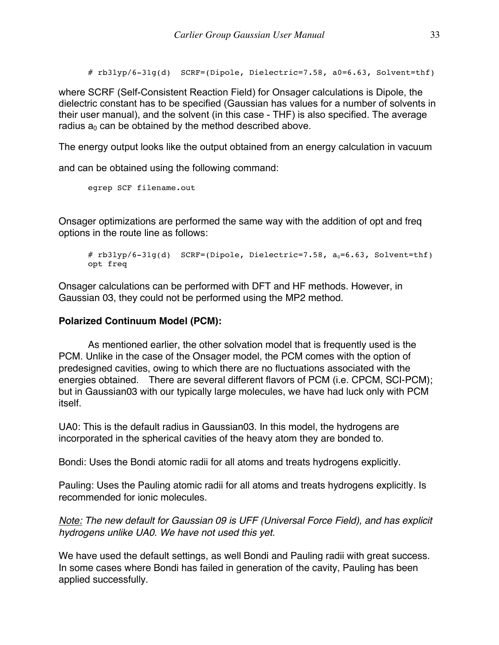#  $rb3lyp/6-31q(d)$  SCRF=(Dipole, Dielectric=7.58, a0=6.63, Solvent=thf)

where SCRF (Self-Consistent Reaction Field) for Onsager calculations is Dipole, the dielectric constant has to be specified (Gaussian has values for a number of solvents in their user manual), and the solvent (in this case - THF) is also specified. The average radius  $a_0$  can be obtained by the method described above.

The energy output looks like the output obtained from an energy calculation in vacuum

and can be obtained using the following command:

```
egrep SCF filename.out
```
Onsager optimizations are performed the same way with the addition of opt and freq options in the route line as follows:

```
# rb3lyp/6-31g(d) SCRF=(Dipole, Dielectric=7.58, a_0=6.63, Solvent=thf)
opt freq
```
Onsager calculations can be performed with DFT and HF methods. However, in Gaussian 03, they could not be performed using the MP2 method.

#### **Polarized Continuum Model (PCM):**

As mentioned earlier, the other solvation model that is frequently used is the PCM. Unlike in the case of the Onsager model, the PCM comes with the option of predesigned cavities, owing to which there are no fluctuations associated with the energies obtained. There are several different flavors of PCM (i.e. CPCM, SCI-PCM); but in Gaussian03 with our typically large molecules, we have had luck only with PCM itself.

UA0: This is the default radius in Gaussian03. In this model, the hydrogens are incorporated in the spherical cavities of the heavy atom they are bonded to.

Bondi: Uses the Bondi atomic radii for all atoms and treats hydrogens explicitly.

Pauling: Uses the Pauling atomic radii for all atoms and treats hydrogens explicitly. Is recommended for ionic molecules.

*Note: The new default for Gaussian 09 is UFF (Universal Force Field), and has explicit hydrogens unlike UA0. We have not used this yet.* 

We have used the default settings, as well Bondi and Pauling radii with great success. In some cases where Bondi has failed in generation of the cavity, Pauling has been applied successfully.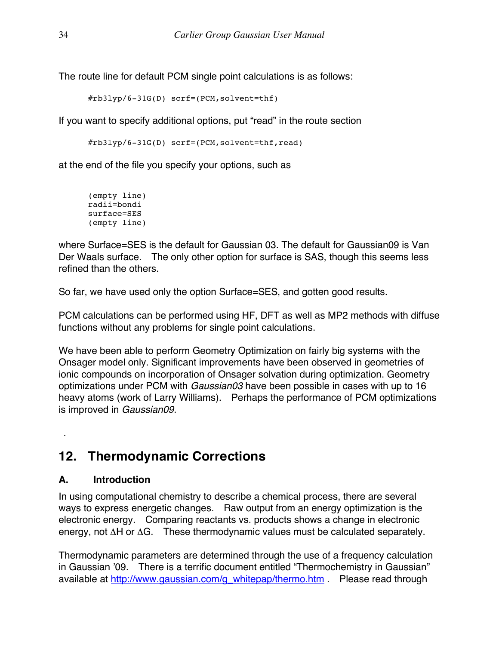The route line for default PCM single point calculations is as follows:

#rb3lyp/6-31G(D) scrf=(PCM,solvent=thf)

If you want to specify additional options, put "read" in the route section

#rb3lyp/6-31G(D) scrf=(PCM,solvent=thf,read)

at the end of the file you specify your options, such as

```
(empty line)
radii=bondi
surface=SES
(empty line)
```
where Surface=SES is the default for Gaussian 03. The default for Gaussian09 is Van Der Waals surface. The only other option for surface is SAS, though this seems less refined than the others.

So far, we have used only the option Surface=SES, and gotten good results.

PCM calculations can be performed using HF, DFT as well as MP2 methods with diffuse functions without any problems for single point calculations.

We have been able to perform Geometry Optimization on fairly big systems with the Onsager model only. Significant improvements have been observed in geometries of ionic compounds on incorporation of Onsager solvation during optimization. Geometry optimizations under PCM with *Gaussian03* have been possible in cases with up to 16 heavy atoms (work of Larry Williams). Perhaps the performance of PCM optimizations is improved in *Gaussian09.*

### **12. Thermodynamic Corrections**

### **A. Introduction**

.

In using computational chemistry to describe a chemical process, there are several ways to express energetic changes. Raw output from an energy optimization is the electronic energy. Comparing reactants vs. products shows a change in electronic energy, not ΔH or ΔG. These thermodynamic values must be calculated separately.

Thermodynamic parameters are determined through the use of a frequency calculation in Gaussian '09. There is a terrific document entitled "Thermochemistry in Gaussian" available at http://www.gaussian.com/g\_whitepap/thermo.htm . Please read through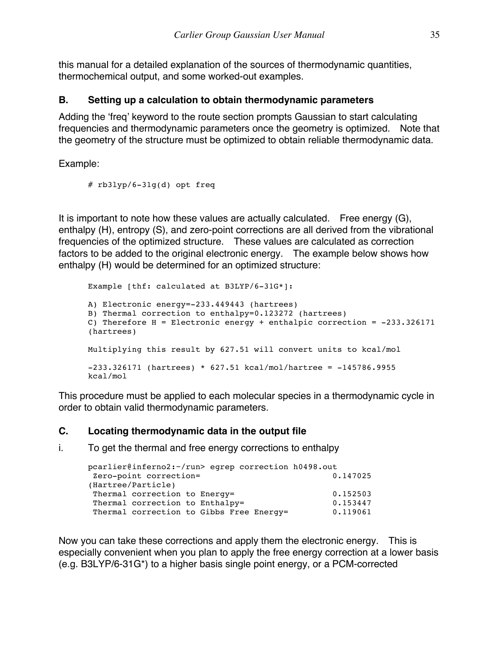this manual for a detailed explanation of the sources of thermodynamic quantities, thermochemical output, and some worked-out examples.

### **B. Setting up a calculation to obtain thermodynamic parameters**

Adding the 'freq' keyword to the route section prompts Gaussian to start calculating frequencies and thermodynamic parameters once the geometry is optimized. Note that the geometry of the structure must be optimized to obtain reliable thermodynamic data.

Example:

# rb3lyp/6-31g(d) opt freq

It is important to note how these values are actually calculated. Free energy (G), enthalpy (H), entropy (S), and zero-point corrections are all derived from the vibrational frequencies of the optimized structure. These values are calculated as correction factors to be added to the original electronic energy. The example below shows how enthalpy (H) would be determined for an optimized structure:

```
Example [thf: calculated at B3LYP/6-31G*]:
A) Electronic energy=-233.449443 (hartrees)
B) Thermal correction to enthalpy=0.123272 (hartrees)
C) Therefore H = Electronic energy + enthalpic correction = -233.326171 
(hartrees)
Multiplying this result by 627.51 will convert units to kcal/mol
-233.326171 (hartrees) * 627.51 kcal/mol/hartree = -145786.9955 
kcal/mol
```
This procedure must be applied to each molecular species in a thermodynamic cycle in order to obtain valid thermodynamic parameters.

### **C. Locating thermodynamic data in the output file**

i. To get the thermal and free energy corrections to enthalpy

```
pcarlier@inferno2:~/run> egrep correction h0498.out
Zero-point correction= 0.147025 
(Hartree/Particle)
Thermal correction to Energy= 0.152503<br>Thermal correction to Enthalpy= 0.153447
Thermal correction to Enthalpy=
Thermal correction to Gibbs Free Energy= 0.119061
```
Now you can take these corrections and apply them the electronic energy. This is especially convenient when you plan to apply the free energy correction at a lower basis (e.g. B3LYP/6-31G\*) to a higher basis single point energy, or a PCM-corrected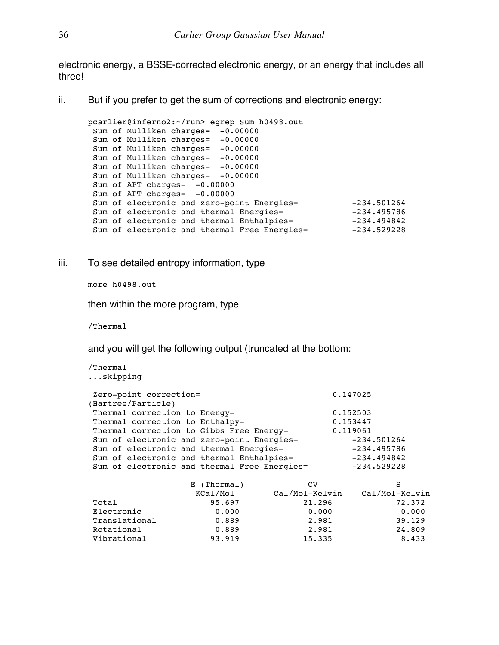electronic energy, a BSSE-corrected electronic energy, or an energy that includes all three!

ii. But if you prefer to get the sum of corrections and electronic energy:

```
pcarlier@inferno2:~/run> egrep Sum h0498.out
Sum of Mulliken charges= -0.00000
Sum of Mulliken charges= -0.00000
Sum of Mulliken charges= -0.00000
Sum of Mulliken charges= -0.00000
Sum of Mulliken charges= -0.00000
Sum of Mulliken charges= -0.00000
 Sum of APT charges= -0.00000
 Sum of APT charges= -0.00000
 Sum of electronic and zero-point Energies= -234.501264
 Sum of electronic and thermal Energies= -234.495786
 Sum of electronic and thermal Enthalpies= -234.494842Sum of electronic and thermal Free Energies= -234.529228
```
iii. To see detailed entropy information, type

more h0498.out

then within the more program, type

/Thermal

and you will get the following output (truncated at the bottom:

```
/Thermal
...skipping
Zero-point correction= 0.147025 
(Hartree/Particle)
Thermal correction to Energy= 0.152503Thermal correction to Enthalpy= 0.153447Thermal correction to Gibbs Free Energy= 0.119061
Sum of electronic and zero-point Energies= -234.501264
Sum of electronic and thermal Energies= -234.495786
Sum of electronic and thermal Enthalpies= -234.494842Sum of electronic and thermal Free Energies= -234.529228
 E (Thermal) CV S
 KCal/Mol Cal/Mol-Kelvin Cal/Mol-Kelvin
Total 95.697 21.296 72.372
Electronic 0.000 0.000 0.000
Translational 0.889 2.981 39.129
Rotational 0.889 2.981 24.809
Vibrational 93.919 15.335 8.433
```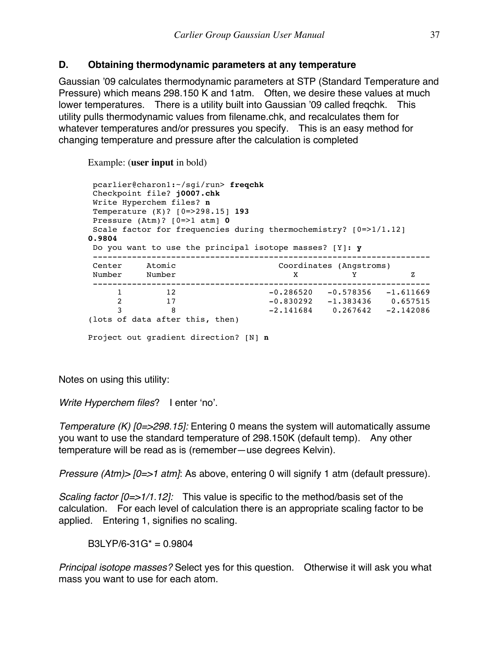### **D. Obtaining thermodynamic parameters at any temperature**

Gaussian '09 calculates thermodynamic parameters at STP (Standard Temperature and Pressure) which means 298.150 K and 1atm. Often, we desire these values at much lower temperatures. There is a utility built into Gaussian '09 called freqchk. This utility pulls thermodynamic values from filename.chk, and recalculates them for whatever temperatures and/or pressures you specify. This is an easy method for changing temperature and pressure after the calculation is completed

Example: (**user input** in bold)

```
pcarlier@charon1:~/sgi/run> freqchk
Checkpoint file? j0007.chk
Write Hyperchem files? n
Temperature (K)? [0=>298.15] 193
Pressure (Atm)? [0=>1 atm] 0
Scale factor for frequencies during thermochemistry? [0=>1/1.12]0.9804
Do you want to use the principal isotope masses? [Y]: y
---------------------------------------------------------------------
Center Atomic Coordinates (Angstroms)
Number Number X Y Z
---------------------------------------------------------------------
 1 12 -0.286520 -0.578356 -1.611669
 2 17 -0.830292 -1.383436 0.657515
 3 8 -2.141684 0.267642 -2.142086
(lots of data after this, then)
Project out gradient direction? [N] n
```
Notes on using this utility:

*Write Hyperchem files*? I enter 'no'.

*Temperature (K) [0=>298.15]:* Entering 0 means the system will automatically assume you want to use the standard temperature of 298.150K (default temp). Any other temperature will be read as is (remember—use degrees Kelvin).

*Pressure (Atm)> [0=>1 atm]*: As above, entering 0 will signify 1 atm (default pressure).

*Scaling factor [0=>1/1.12]:* This value is specific to the method/basis set of the calculation. For each level of calculation there is an appropriate scaling factor to be applied. Entering 1, signifies no scaling.

 $B3LYP/6-31G^* = 0.9804$ 

*Principal isotope masses?* Select yes for this question. Otherwise it will ask you what mass you want to use for each atom.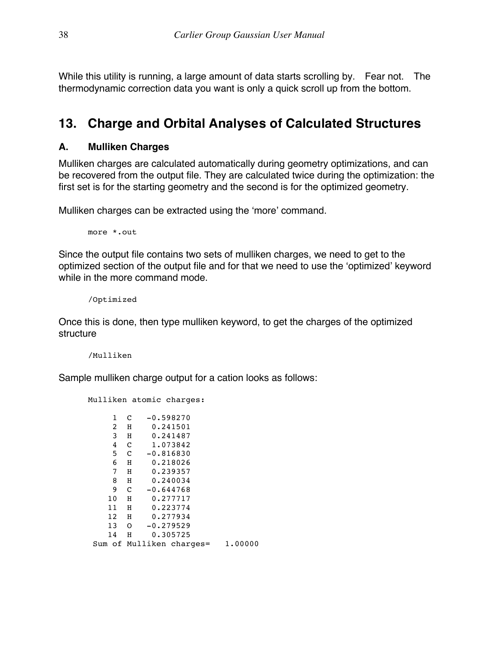While this utility is running, a large amount of data starts scrolling by. Fear not. The thermodynamic correction data you want is only a quick scroll up from the bottom.

### **13. Charge and Orbital Analyses of Calculated Structures**

### **A. Mulliken Charges**

Mulliken charges are calculated automatically during geometry optimizations, and can be recovered from the output file. They are calculated twice during the optimization: the first set is for the starting geometry and the second is for the optimized geometry.

Mulliken charges can be extracted using the 'more' command.

more \*.out

Since the output file contains two sets of mulliken charges, we need to get to the optimized section of the output file and for that we need to use the 'optimized' keyword while in the more command mode.

/Optimized

Once this is done, then type mulliken keyword, to get the charges of the optimized structure

/Mulliken

Sample mulliken charge output for a cation looks as follows:

Mulliken atomic charges:

| 1  | C           | $-0.598270$              |         |
|----|-------------|--------------------------|---------|
| 2  | Н           | 0.241501                 |         |
| 3  | Н           | 0.241487                 |         |
| 4  | $\mathbf C$ | 1.073842                 |         |
| 5  | C           | $-0.816830$              |         |
| 6  | Н           | 0.218026                 |         |
| 7  | Н           | 0.239357                 |         |
| 8  | Н           | 0.240034                 |         |
| 9  | C           | $-0.644768$              |         |
| 10 | Η           | 0.277717                 |         |
| 11 | Н           | 0.223774                 |         |
| 12 | Н           | 0.277934                 |         |
| 13 | $\Omega$    | $-0.279529$              |         |
| 14 | Н           | 0.305725                 |         |
|    |             | Sum of Mulliken charges= | 1.00000 |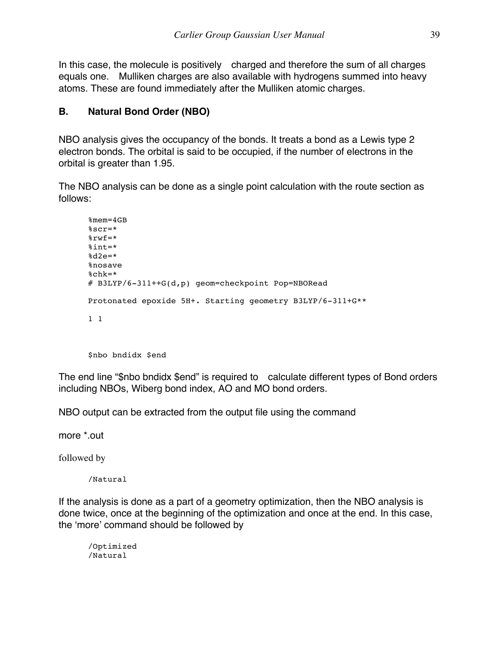In this case, the molecule is positively charged and therefore the sum of all charges equals one. Mulliken charges are also available with hydrogens summed into heavy atoms. These are found immediately after the Mulliken atomic charges.

### **B. Natural Bond Order (NBO)**

NBO analysis gives the occupancy of the bonds. It treats a bond as a Lewis type 2 electron bonds. The orbital is said to be occupied, if the number of electrons in the orbital is greater than 1.95.

The NBO analysis can be done as a single point calculation with the route section as follows:

```
%mem=4GB
%scr=*
%rwf=*
%int=*
8d2e=*%nosave
%chk=*
# B3LYP/6-311++G(d,p) geom=checkpoint Pop=NBORead
Protonated epoxide 5H+. Starting geometry B3LYP/6-311+G**
1 1
```
\$nbo bndidx \$end

The end line "\$nbo bndidx \$end" is required to calculate different types of Bond orders including NBOs, Wiberg bond index, AO and MO bond orders.

NBO output can be extracted from the output file using the command

more \*.out

followed by

/Natural

If the analysis is done as a part of a geometry optimization, then the NBO analysis is done twice, once at the beginning of the optimization and once at the end. In this case, the 'more' command should be followed by

/Optimized /Natural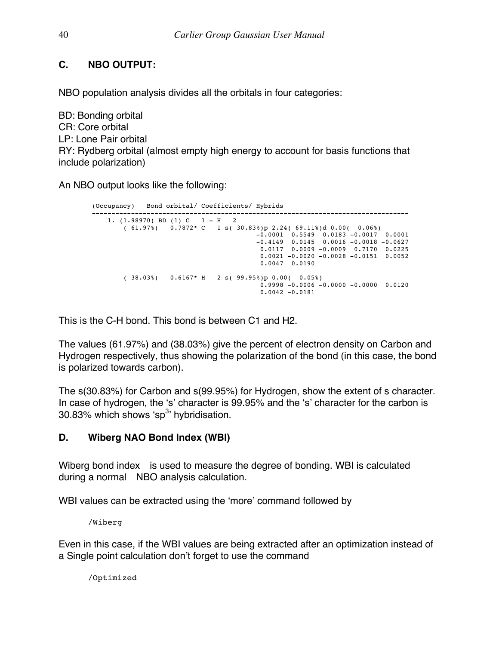### **C. NBO OUTPUT:**

NBO population analysis divides all the orbitals in four categories:

BD: Bonding orbital CR: Core orbital LP: Lone Pair orbital RY: Rydberg orbital (almost empty high energy to account for basis functions that include polarization)

An NBO output looks like the following:

```
(Occupancy) Bond orbital/ Coefficients/ Hybrids
         ---------------------------------------------------------------------------------
 1. (1.98970) BD (1) C 1 - H 2 
 ( 61.97%) 0.7872* C 1 s( 30.83%)p 2.24( 69.11%)d 0.00( 0.06%)
-0.0001 0.5549 0.0183 -0.0017 0.0001-0.4149 0.0145 0.0016 -0.0018 -0.06270.0117 0.0009 -0.0009 0.7170 0.0225 0.0021 -0.0020 -0.0028 -0.0151 0.0052
                                 0.0047 0.0190
       ( 38.03%) 0.6167* H 2 s( 99.95%)p 0.00( 0.05%)
                                 0.9998 -0.0006 -0.0000 -0.0000 0.0120
                                  0.0042 -0.0181
```
This is the C-H bond. This bond is between C1 and H2.

The values (61.97%) and (38.03%) give the percent of electron density on Carbon and Hydrogen respectively, thus showing the polarization of the bond (in this case, the bond is polarized towards carbon).

The s(30.83%) for Carbon and s(99.95%) for Hydrogen, show the extent of s character. In case of hydrogen, the 's' character is 99.95% and the 's' character for the carbon is 30.83% which shows 'sp $3$ ' hybridisation.

### **D. Wiberg NAO Bond Index (WBI)**

Wiberg bond index is used to measure the degree of bonding. WBI is calculated during a normal NBO analysis calculation.

WBI values can be extracted using the 'more' command followed by

/Wiberg

Even in this case, if the WBI values are being extracted after an optimization instead of a Single point calculation don't forget to use the command

/Optimized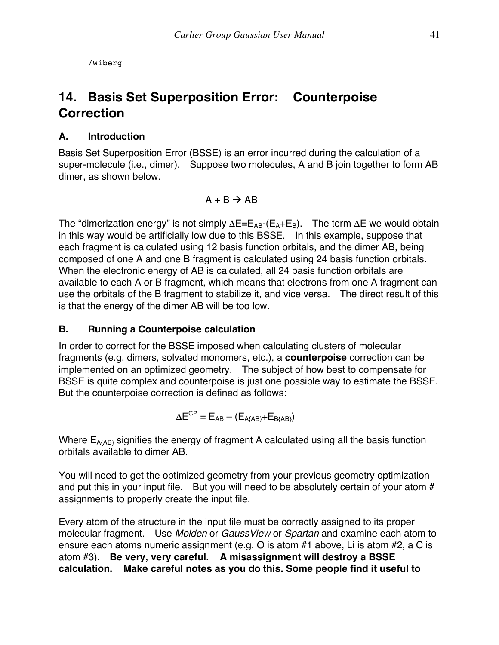/Wiberg

### **14. Basis Set Superposition Error: Counterpoise Correction**

### **A. Introduction**

Basis Set Superposition Error (BSSE) is an error incurred during the calculation of a super-molecule (i.e., dimer). Suppose two molecules, A and B join together to form AB dimer, as shown below.

$$
A + B \rightarrow AB
$$

The "dimerization energy" is not simply  $\Delta E = E_{AB} - (E_A + E_B)$ . The term  $\Delta E$  we would obtain in this way would be artificially low due to this BSSE. In this example, suppose that each fragment is calculated using 12 basis function orbitals, and the dimer AB, being composed of one A and one B fragment is calculated using 24 basis function orbitals. When the electronic energy of AB is calculated, all 24 basis function orbitals are available to each A or B fragment, which means that electrons from one A fragment can use the orbitals of the B fragment to stabilize it, and vice versa. The direct result of this is that the energy of the dimer AB will be too low.

### **B. Running a Counterpoise calculation**

In order to correct for the BSSE imposed when calculating clusters of molecular fragments (e.g. dimers, solvated monomers, etc.), a **counterpoise** correction can be implemented on an optimized geometry. The subject of how best to compensate for BSSE is quite complex and counterpoise is just one possible way to estimate the BSSE. But the counterpoise correction is defined as follows:

 $\Delta E^{CP} = E_{AB} - (E_{A\{AB\}} + E_{B\{AB\}})$ 

Where  $E_{A(AB)}$  signifies the energy of fragment A calculated using all the basis function orbitals available to dimer AB.

You will need to get the optimized geometry from your previous geometry optimization and put this in your input file. But you will need to be absolutely certain of your atom  $#$ assignments to properly create the input file.

Every atom of the structure in the input file must be correctly assigned to its proper molecular fragment. Use *Molden* or *GaussView* or *Spartan* and examine each atom to ensure each atoms numeric assignment (e.g. O is atom #1 above, Li is atom #2, a C is atom #3). **Be very, very careful. A misassignment will destroy a BSSE calculation. Make careful notes as you do this. Some people find it useful to**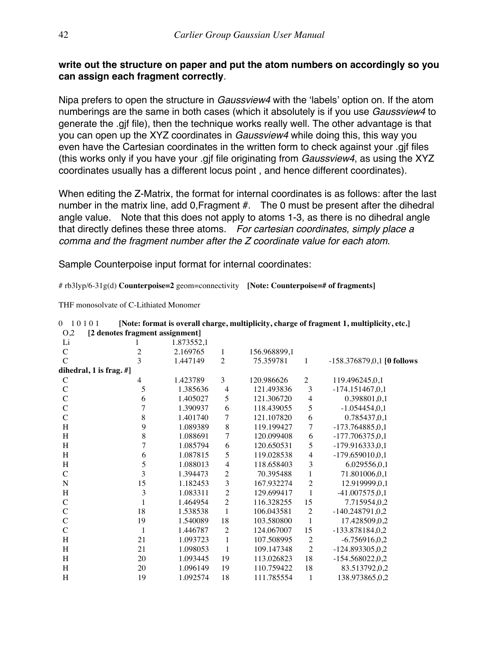### **write out the structure on paper and put the atom numbers on accordingly so you can assign each fragment correctly**.

Nipa prefers to open the structure in *Gaussview4* with the 'labels' option on. If the atom numberings are the same in both cases (which it absolutely is if you use *Gaussview4* to generate the .gjf file), then the technique works really well. The other advantage is that you can open up the XYZ coordinates in *Gaussview4* while doing this, this way you even have the Cartesian coordinates in the written form to check against your .gjf files (this works only if you have your .gjf file originating from *Gaussview4*, as using the XYZ coordinates usually has a different locus point , and hence different coordinates).

When editing the Z-Matrix, the format for internal coordinates is as follows: after the last number in the matrix line, add 0, Fragment #. The 0 must be present after the dihedral angle value. Note that this does not apply to atoms 1-3, as there is no dihedral angle that directly defines these three atoms. *For cartesian coordinates, simply place a comma and the fragment number after the Z coordinate value for each atom*.

Sample Counterpoise input format for internal coordinates:

# rb3lyp/6-31g(d) **Counterpoise=2** geom=connectivity **[Note: Counterpoise=# of fragments]**

THF monosolvate of C-Lithiated Monomer

| O <sub>2</sub> | [2 denotes fragment assignment] |            |                |              |                |                              |
|----------------|---------------------------------|------------|----------------|--------------|----------------|------------------------------|
| Li             |                                 | 1.873552,1 |                |              |                |                              |
| $\mathcal{C}$  | $\overline{c}$                  | 2.169765   | 1              | 156.968899,1 |                |                              |
| $\mathcal{C}$  | 3                               | 1.447149   | $\overline{2}$ | 75.359781    | 1              | $-158.376879,0,1$ [0 follows |
|                | dihedral, 1 is frag. #]         |            |                |              |                |                              |
| $\mathsf{C}$   | 4                               | 1.423789   | 3              | 120.986626   | $\mathbf{2}$   | 119.496245,0,1               |
| $\mathcal{C}$  | 5                               | 1.385636   | $\overline{4}$ | 121.493836   | 3              | $-174.151467, 0, 1$          |
| $\mathbf C$    | 6                               | 1.405027   | 5              | 121.306720   | $\overline{4}$ | 0.398801,0,1                 |
| $\mathcal{C}$  | 7                               | 1.390937   | 6              | 118.439055   | 5              | $-1.054454, 0, 1$            |
| $\mathcal{C}$  | 8                               | 1.401740   | 7              | 121.107820   | 6              | 0.785437,0,1                 |
| H              | 9                               | 1.089389   | 8              | 119.199427   | 7              | $-173.764885, 0, 1$          |
| H              | $\,8\,$                         | 1.088691   | 7              | 120.099408   | 6              | $-177.706375, 0, 1$          |
| H              | 7                               | 1.085794   | 6              | 120.650531   | 5              | $-179.916333.0.1$            |
| H              | 6                               | 1.087815   | 5              | 119.028538   | $\overline{4}$ | $-179.659010,0,1$            |
| H              | 5                               | 1.088013   | $\overline{4}$ | 118.658403   | 3              | 6.029556,0,1                 |
| $\mathcal{C}$  | 3                               | 1.394473   | $\overline{2}$ | 70.395488    | $\mathbf{1}$   | 71.801006,0,1                |
| $\mathbf N$    | 15                              | 1.182453   | 3              | 167.932274   | $\overline{c}$ | 12.919999,0,1                |
| H              | 3                               | 1.083311   | $\overline{2}$ | 129.699417   | $\mathbf{1}$   | $-41.007575, 0, 1$           |
| $\mathcal{C}$  | 1                               | 1.464954   | $\overline{2}$ | 116.328255   | 15             | 7.715954,0,2                 |
| $\mathcal{C}$  | 18                              | 1.538538   | $\mathbf{1}$   | 106.043581   | $\overline{c}$ | $-140.248791, 0, 2$          |
| $\mathbf C$    | 19                              | 1.540089   | 18             | 103.580800   | $\mathbf{1}$   | 17.428509,0,2                |
| $\mathcal{C}$  | 1                               | 1.446787   | $\overline{2}$ | 124.067007   | 15             | -133.878184,0,2              |
| H              | 21                              | 1.093723   | $\mathbf{1}$   | 107.508995   | $\overline{c}$ | $-6.756916, 0.2$             |
| H              | 21                              | 1.098053   | $\mathbf{1}$   | 109.147348   | $\overline{2}$ | $-124.893305, 0, 2$          |
| H              | 20                              | 1.093445   | 19             | 113.026823   | 18             | $-154.568022, 0, 2$          |
| H              | 20                              | 1.096149   | 19             | 110.759422   | 18             | 83.513792,0,2                |
| H              | 19                              | 1.092574   | 18             | 111.785554   | 1              | 138.973865,0,2               |

|          | 0.10101                             |            | [Note: format is overall charge, multiplicity, charge of fragment 1, multiplicity, etc.] |
|----------|-------------------------------------|------------|------------------------------------------------------------------------------------------|
|          | 0.2 [2] denotes fragment assignment |            |                                                                                          |
| – Li     |                                     | 1.873552.1 |                                                                                          |
| $\Gamma$ |                                     | 2.169765   | 156.968899.1                                                                             |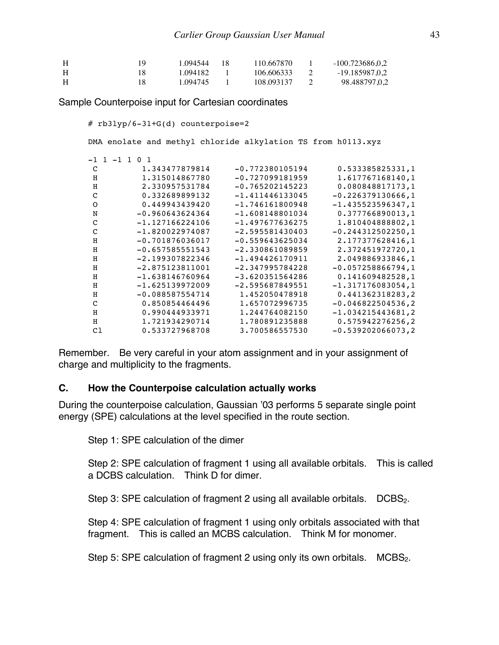| H | 1.094544 | - 18 | 110.667870 | $-100.723686.0.2$ |
|---|----------|------|------------|-------------------|
|   | 1.094182 |      | 106.606333 | -19.185987,0.2    |
|   | 1.094745 |      | 108.093137 | 98.488797,0,2     |

Sample Counterpoise input for Cartesian coordinates

# rb3lyp/6-31+G(d) counterpoise=2

DMA enolate and methyl chloride alkylation TS from h0113.xyz

|    | $-1$ 1 $-1$ 1<br>$\Omega$ |                   |                     |
|----|---------------------------|-------------------|---------------------|
| C  | 1.343477879814            | $-0.772380105194$ | 0.533385825331,1    |
| H  | 1.315014867780            | $-0.727099181959$ | 1.617767168140,1    |
| н  | 2.330957531784            | $-0.765202145223$ | 0.080848817173,1    |
| C  | 0.332689899132            | $-1.411446133045$ | $-0.226379130666,1$ |
| O  | 0.449943439420            | $-1.746161800948$ | $-1.435523596347,1$ |
| N  | $-0.960643624364$         | $-1.608148801034$ | 0.377766890013,1    |
| C  | $-1.127166224106$         | $-1.497677636275$ | 1.810404888802,1    |
| C  | $-1.820022974087$         | $-2.595581430403$ | $-0.244312502250,1$ |
| H  | $-0.701876036017$         | $-0.559643625034$ | 2.177377628416,1    |
| н  | $-0.657585551543$         | $-2.330861089859$ | 2.372451972720,1    |
| н  | $-2.199307822346$         | $-1.494426170911$ | 2.049886933846,1    |
| H  | $-2.875123811001$         | $-2.347995784228$ | $-0.057258866794,1$ |
| н  | $-1.638146760964$         | $-3.620351564286$ | 0.141609482528,1    |
| н  | $-1.625139972009$         | $-2.595687849551$ | $-1.317176083054,1$ |
| H  | $-0.088587554714$         | 1.452050478918    | 0.441362318283,2    |
| C  | 0.850854464496            | 1.657072996735    | $-0.046822504536,2$ |
| H  | 0.990444933971            | 1.244764082150    | $-1.034215443681,2$ |
| н  | 1.721934290714            | 1,780891235888    | 0.575942276256,2    |
| C1 | 0.533727968708            | 3.700586557530    | $-0.539202066073,2$ |

Remember. Be very careful in your atom assignment and in your assignment of charge and multiplicity to the fragments.

#### **C. How the Counterpoise calculation actually works**

During the counterpoise calculation, Gaussian '03 performs 5 separate single point energy (SPE) calculations at the level specified in the route section.

Step 1: SPE calculation of the dimer

Step 2: SPE calculation of fragment 1 using all available orbitals. This is called a DCBS calculation. Think D for dimer.

Step 3: SPE calculation of fragment 2 using all available orbitals.  $DCBS<sub>2</sub>$ .

Step 4: SPE calculation of fragment 1 using only orbitals associated with that fragment. This is called an MCBS calculation. Think M for monomer.

Step 5: SPE calculation of fragment 2 using only its own orbitals.  $MCBS<sub>2</sub>$ .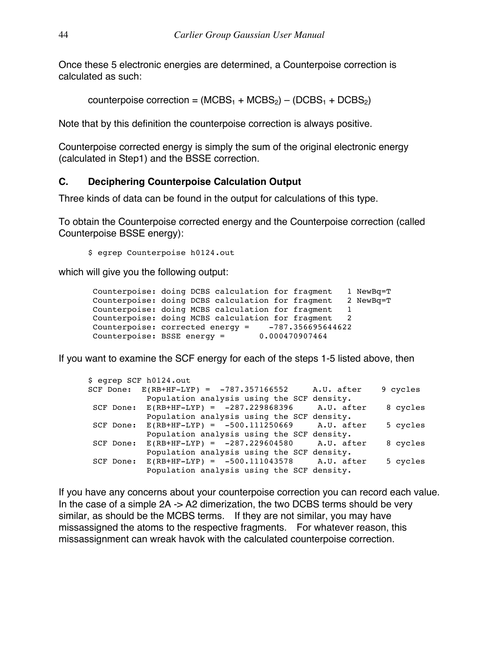Once these 5 electronic energies are determined, a Counterpoise correction is calculated as such:

counterpoise correction =  $(MCBS<sub>1</sub> + MCBS<sub>2</sub>) - (DCBS<sub>1</sub> + DCBS<sub>2</sub>)$ 

Note that by this definition the counterpoise correction is always positive.

Counterpoise corrected energy is simply the sum of the original electronic energy (calculated in Step1) and the BSSE correction.

### **C. Deciphering Counterpoise Calculation Output**

Three kinds of data can be found in the output for calculations of this type.

To obtain the Counterpoise corrected energy and the Counterpoise correction (called Counterpoise BSSE energy):

\$ egrep Counterpoise h0124.out

which will give you the following output:

```
Counterpoise: doing DCBS calculation for fragment 1 NewBq=T
Counterpoise: doing DCBS calculation for fragment 2 NewBq=T<br>Counterpoise: doing MCBS calculation for fragment 1
Counterpoise: doing MCBS calculation for fragment 1
Counterpoise: doing MCBS calculation for fragment 2
Counterpoise: corrected energy = -787.356695644622<br>Counterpoise: BSSE energy = 0.000470907464Counterpoise: BSSE energy =
```
If you want to examine the SCF energy for each of the steps 1-5 listed above, then

```
$ egrep SCF h0124.out
SCF Done: E(RB+HF-LYP) = -787.357166552 A.U. after 9 cycles
          Population analysis using the SCF density.
SCF Done: E(RB+HF-LYP) = -287.229868396 A.U. after 8 cycles
           Population analysis using the SCF density.
SCF Done: E(RB+HF-LYP) = -500.111250669 A.U. after 5 cycles
           Population analysis using the SCF density.
SCF Done: E(RB+HF-LYP) = -287.229604580 A.U. after 8 cycles
          Population analysis using the SCF density.
SCF Done: E(RB+HF-LYP) = -500.111043578 A.U. after 5 cycles
           Population analysis using the SCF density.
```
If you have any concerns about your counterpoise correction you can record each value. In the case of a simple 2A -> A2 dimerization, the two DCBS terms should be very similar, as should be the MCBS terms. If they are not similar, you may have missassigned the atoms to the respective fragments. For whatever reason, this missassignment can wreak havok with the calculated counterpoise correction.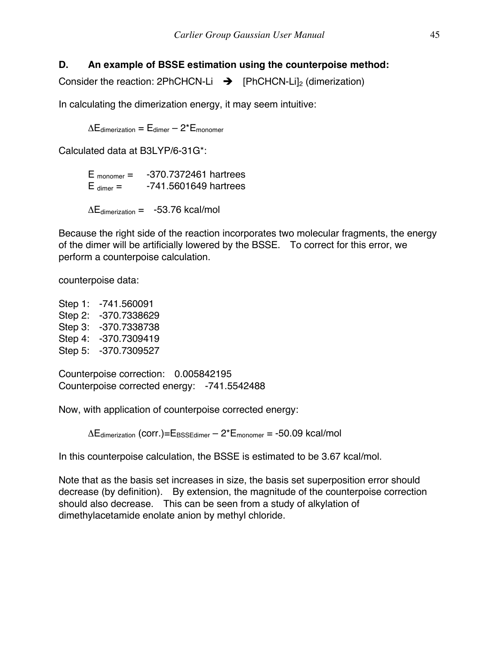### **D. An example of BSSE estimation using the counterpoise method:**

Consider the reaction: 2PhCHCN-Li  $\rightarrow$  [PhCHCN-Li]<sub>2</sub> (dimerization)

In calculating the dimerization energy, it may seem intuitive:

 $\Delta E_{\text{dimerization}} = E_{\text{dimer}} - 2 \times E_{\text{monomer}}$ 

Calculated data at B3LYP/6-31G\*:

 $E_{\text{monomer}} = -370.7372461$  hartrees  $E_{\text{dimer}} = -741.5601649$  hartrees

 $\Delta E_{\text{dimension}} = -53.76 \text{ kcal/mol}$ 

Because the right side of the reaction incorporates two molecular fragments, the energy of the dimer will be artificially lowered by the BSSE. To correct for this error, we perform a counterpoise calculation.

counterpoise data:

Step 1: -741.560091 Step 2: -370.7338629 Step 3: -370.7338738 Step 4: -370.7309419 Step 5: -370.7309527

Counterpoise correction: 0.005842195 Counterpoise corrected energy: -741.5542488

Now, with application of counterpoise corrected energy:

 $\Delta E_{\text{dimension}}$  (corr.)= $E_{\text{BSSEdimer}} - 2 E_{\text{monomer}} = -50.09$  kcal/mol

In this counterpoise calculation, the BSSE is estimated to be 3.67 kcal/mol.

Note that as the basis set increases in size, the basis set superposition error should decrease (by definition). By extension, the magnitude of the counterpoise correction should also decrease. This can be seen from a study of alkylation of dimethylacetamide enolate anion by methyl chloride.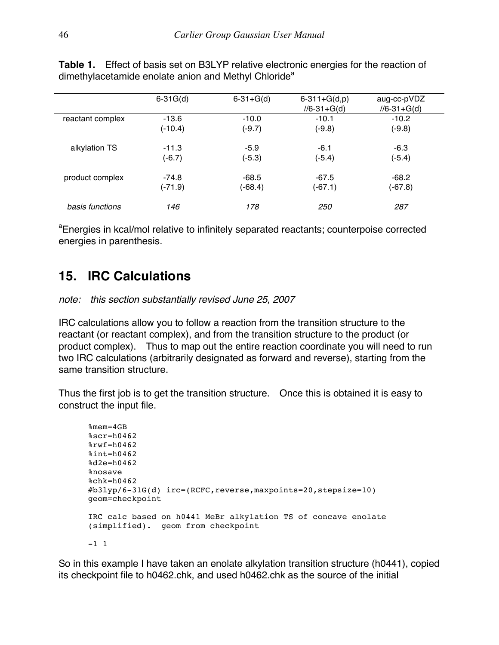|                  | $6 - 31G(d)$ | $6 - 31 + G(d)$ | $6 - 311 + G(d,p)$<br>$1/6 - 31 + G(d)$ | aug-cc-pVDZ<br>$1/6 - 31 + G(d)$ |
|------------------|--------------|-----------------|-----------------------------------------|----------------------------------|
| reactant complex | $-13.6$      | $-10.0$         | $-10.1$                                 | $-10.2$                          |
|                  | $(-10.4)$    | $(-9.7)$        | $(-9.8)$                                | $(-9.8)$                         |
| alkylation TS    | $-11.3$      | $-5.9$          | $-6.1$                                  | $-6.3$                           |
|                  | $(-6.7)$     | $(-5.3)$        | $(-5.4)$                                | $(-5.4)$                         |
| product complex  | $-74.8$      | $-68.5$         | $-67.5$                                 | $-68.2$                          |
|                  | $(-71.9)$    | (-68.4)         | $(-67.1)$                               | $(-67.8)$                        |
| basis functions  | 146          | 178             | <i>250</i>                              | 287                              |

**Table 1.** Effect of basis set on B3LYP relative electronic energies for the reaction of dimethylacetamide enolate anion and Methyl Chloride<sup>a</sup>

<sup>a</sup>Energies in kcal/mol relative to infinitely separated reactants; counterpoise corrected energies in parenthesis.

## **15. IRC Calculations**

*note: this section substantially revised June 25, 2007*

IRC calculations allow you to follow a reaction from the transition structure to the reactant (or reactant complex), and from the transition structure to the product (or product complex). Thus to map out the entire reaction coordinate you will need to run two IRC calculations (arbitrarily designated as forward and reverse), starting from the same transition structure.

Thus the first job is to get the transition structure. Once this is obtained it is easy to construct the input file.

```
%mem=4GB
sscr=h04628rwf=h0462%int=h0462
%d2e=h0462
%nosave
%chk=h0462
#b3lyp/6-31G(d) irc=(RCFC,reverse,maxpoints=20,stepsize=10) 
geom=checkpoint 
IRC calc based on h0441 MeBr alkylation TS of concave enolate 
(simplified). geom from checkpoint
-1 1
```
So in this example I have taken an enolate alkylation transition structure (h0441), copied its checkpoint file to h0462.chk, and used h0462.chk as the source of the initial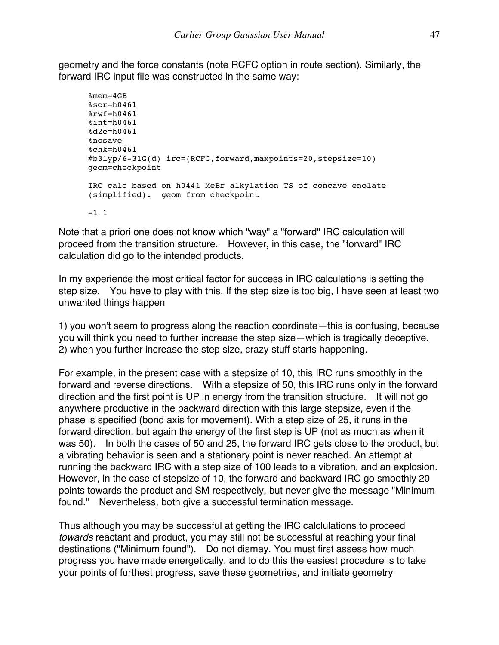geometry and the force constants (note RCFC option in route section). Similarly, the forward IRC input file was constructed in the same way:

```
%mem=4GB
%scr=h0461\frac{8}{5}rwf=h0461
%int=h0461
%d2e=h0461
%nosave
%chk=h0461
#b3lyp/6-31G(d) irc=(RCFC,forward,maxpoints=20,stepsize=10) 
geom=checkpoint 
IRC calc based on h0441 MeBr alkylation TS of concave enolate 
(simplified). geom from checkpoint
-1 1
```
Note that a priori one does not know which "way" a "forward" IRC calculation will proceed from the transition structure. However, in this case, the "forward" IRC calculation did go to the intended products.

In my experience the most critical factor for success in IRC calculations is setting the step size. You have to play with this. If the step size is too big, I have seen at least two unwanted things happen

1) you won't seem to progress along the reaction coordinate—this is confusing, because you will think you need to further increase the step size—which is tragically deceptive. 2) when you further increase the step size, crazy stuff starts happening.

For example, in the present case with a stepsize of 10, this IRC runs smoothly in the forward and reverse directions. With a stepsize of 50, this IRC runs only in the forward direction and the first point is UP in energy from the transition structure. It will not go anywhere productive in the backward direction with this large stepsize, even if the phase is specified (bond axis for movement). With a step size of 25, it runs in the forward direction, but again the energy of the first step is UP (not as much as when it was 50). In both the cases of 50 and 25, the forward IRC gets close to the product, but a vibrating behavior is seen and a stationary point is never reached. An attempt at running the backward IRC with a step size of 100 leads to a vibration, and an explosion. However, in the case of stepsize of 10, the forward and backward IRC go smoothly 20 points towards the product and SM respectively, but never give the message "Minimum found." Nevertheless, both give a successful termination message.

Thus although you may be successful at getting the IRC calclulations to proceed *towards* reactant and product, you may still not be successful at reaching your final destinations ("Minimum found"). Do not dismay. You must first assess how much progress you have made energetically, and to do this the easiest procedure is to take your points of furthest progress, save these geometries, and initiate geometry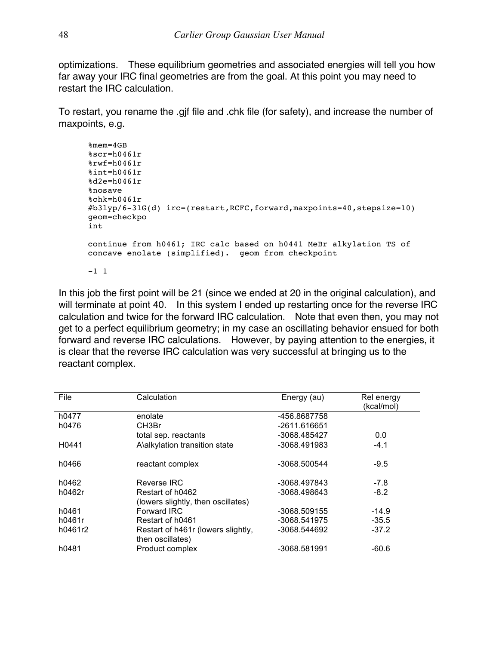optimizations. These equilibrium geometries and associated energies will tell you how far away your IRC final geometries are from the goal. At this point you may need to restart the IRC calculation.

To restart, you rename the .gjf file and .chk file (for safety), and increase the number of maxpoints, e.g.

```
%mem=4GB
%scr=h0461r
\frac{8}{\pi}Fwf=h0461r
%int=h0461r
%d2e=h0461r
%nosave
%chk=h0461r
\#b3lyp/6-31G(d) irc=(restart, RCFC, forward, maxpoints=40, stepsize=10)
geom=checkpo
int 
continue from h0461; IRC calc based on h0441 MeBr alkylation TS of 
concave enolate (simplified). geom from checkpoint
-1 1
```
In this job the first point will be 21 (since we ended at 20 in the original calculation), and will terminate at point 40. In this system I ended up restarting once for the reverse IRC calculation and twice for the forward IRC calculation. Note that even then, you may not get to a perfect equilibrium geometry; in my case an oscillating behavior ensued for both forward and reverse IRC calculations. However, by paying attention to the energies, it is clear that the reverse IRC calculation was very successful at bringing us to the reactant complex.

| File              | Calculation                                            | Energy (au)  | Rel energy<br>(kcal/mol) |
|-------------------|--------------------------------------------------------|--------------|--------------------------|
| h0477             | enolate                                                | -456.8687758 |                          |
| h0476             | CH3Br                                                  | -2611.616651 |                          |
|                   | total sep. reactants                                   | -3068.485427 | 0.0                      |
| H <sub>0441</sub> | A\alkylation transition state                          | -3068.491983 | $-4.1$                   |
| h0466             | reactant complex                                       | -3068.500544 | $-9.5$                   |
| h0462             | Reverse IRC                                            | -3068.497843 | $-7.8$                   |
| h0462r            | Restart of h0462                                       | -3068.498643 | $-8.2$                   |
|                   | (lowers slightly, then oscillates)                     |              |                          |
| h0461             | Forward IRC                                            | -3068.509155 | $-14.9$                  |
| h0461r            | Restart of h0461                                       | -3068.541975 | $-35.5$                  |
| h0461r2           | Restart of h461r (lowers slightly,<br>then oscillates) | -3068.544692 | $-37.2$                  |
| h0481             | Product complex                                        | -3068.581991 | $-60.6$                  |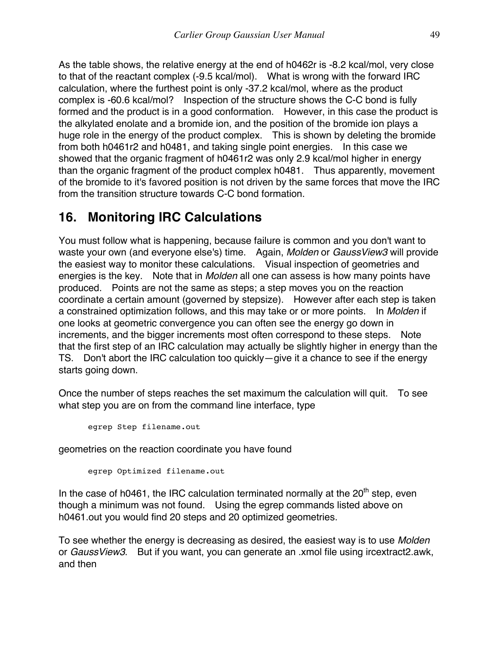As the table shows, the relative energy at the end of h0462r is -8.2 kcal/mol, very close to that of the reactant complex (-9.5 kcal/mol). What is wrong with the forward IRC calculation, where the furthest point is only -37.2 kcal/mol, where as the product complex is -60.6 kcal/mol? Inspection of the structure shows the C-C bond is fully formed and the product is in a good conformation. However, in this case the product is the alkylated enolate and a bromide ion, and the position of the bromide ion plays a huge role in the energy of the product complex. This is shown by deleting the bromide from both h0461r2 and h0481, and taking single point energies. In this case we showed that the organic fragment of h0461r2 was only 2.9 kcal/mol higher in energy than the organic fragment of the product complex h0481. Thus apparently, movement of the bromide to it's favored position is not driven by the same forces that move the IRC from the transition structure towards C-C bond formation.

### **16. Monitoring IRC Calculations**

You must follow what is happening, because failure is common and you don't want to waste your own (and everyone else's) time. Again, *Molden* or *GaussView3* will provide the easiest way to monitor these calculations. Visual inspection of geometries and energies is the key. Note that in *Molden* all one can assess is how many points have produced. Points are not the same as steps; a step moves you on the reaction coordinate a certain amount (governed by stepsize). However after each step is taken a constrained optimization follows, and this may take or or more points. In *Molden* if one looks at geometric convergence you can often see the energy go down in increments, and the bigger increments most often correspond to these steps. Note that the first step of an IRC calculation may actually be slightly higher in energy than the TS. Don't abort the IRC calculation too quickly—give it a chance to see if the energy starts going down.

Once the number of steps reaches the set maximum the calculation will quit. To see what step you are on from the command line interface, type

egrep Step filename.out

geometries on the reaction coordinate you have found

egrep Optimized filename.out

In the case of h0461, the IRC calculation terminated normally at the  $20<sup>th</sup>$  step, even though a minimum was not found. Using the egrep commands listed above on h0461.out you would find 20 steps and 20 optimized geometries.

To see whether the energy is decreasing as desired, the easiest way is to use *Molden* or *GaussView3*. But if you want, you can generate an .xmol file using ircextract2.awk, and then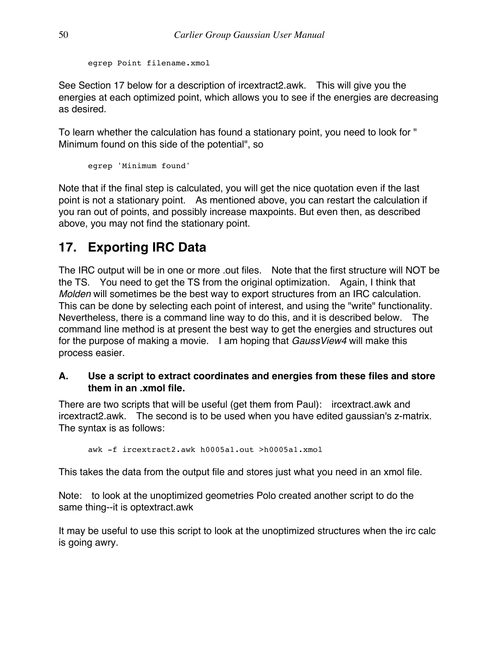egrep Point filename.xmol

See Section 17 below for a description of ircextract2.awk. This will give you the energies at each optimized point, which allows you to see if the energies are decreasing as desired.

To learn whether the calculation has found a stationary point, you need to look for " Minimum found on this side of the potential", so

egrep 'Minimum found'

Note that if the final step is calculated, you will get the nice quotation even if the last point is not a stationary point. As mentioned above, you can restart the calculation if you ran out of points, and possibly increase maxpoints. But even then, as described above, you may not find the stationary point.

### **17. Exporting IRC Data**

The IRC output will be in one or more .out files. Note that the first structure will NOT be the TS. You need to get the TS from the original optimization. Again, I think that *Molden* will sometimes be the best way to export structures from an IRC calculation. This can be done by selecting each point of interest, and using the "write" functionality. Nevertheless, there is a command line way to do this, and it is described below. The command line method is at present the best way to get the energies and structures out for the purpose of making a movie. I am hoping that *GaussView4* will make this process easier.

### **A. Use a script to extract coordinates and energies from these files and store them in an .xmol file.**

There are two scripts that will be useful (get them from Paul): ircextract.awk and ircextract2.awk. The second is to be used when you have edited gaussian's z-matrix. The syntax is as follows:

awk -f ircextract2.awk h0005a1.out >h0005a1.xmol

This takes the data from the output file and stores just what you need in an xmol file.

Note: to look at the unoptimized geometries Polo created another script to do the same thing--it is optextract.awk

It may be useful to use this script to look at the unoptimized structures when the irc calc is going awry.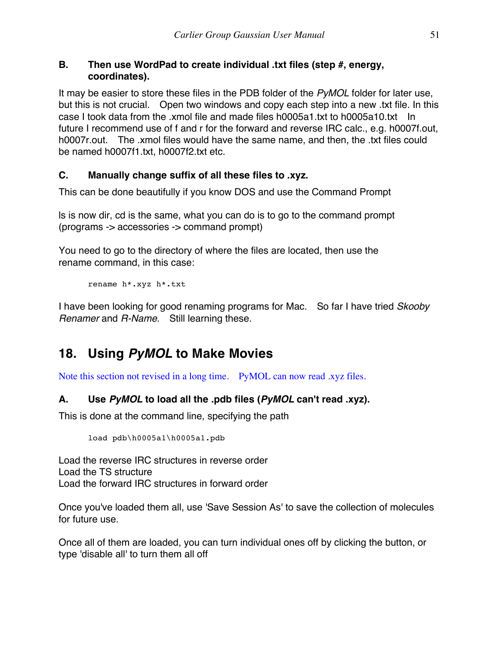### **B. Then use WordPad to create individual .txt files (step #, energy, coordinates).**

It may be easier to store these files in the PDB folder of the *PyMOL* folder for later use, but this is not crucial. Open two windows and copy each step into a new .txt file. In this case I took data from the .xmol file and made files h0005a1.txt to h0005a10.txt In future I recommend use of f and r for the forward and reverse IRC calc., e.g. h0007f.out, h0007r.out. The .xmol files would have the same name, and then, the .txt files could be named h0007f1.txt, h0007f2.txt etc.

### **C. Manually change suffix of all these files to .xyz.**

This can be done beautifully if you know DOS and use the Command Prompt

ls is now dir, cd is the same, what you can do is to go to the command prompt (programs -> accessories -> command prompt)

You need to go to the directory of where the files are located, then use the rename command, in this case:

rename h\*.xyz h\*.txt

I have been looking for good renaming programs for Mac. So far I have tried *Skooby Renamer* and *R-Name*. Still learning these.

### **18. Using** *PyMOL* **to Make Movies**

Note this section not revised in a long time. PyMOL can now read .xyz files.

### **A. Use** *PyMOL* **to load all the .pdb files (***PyMOL* **can't read .xyz).**

This is done at the command line, specifying the path

load pdb\h0005a1\h0005a1.pdb

Load the reverse IRC structures in reverse order Load the TS structure Load the forward IRC structures in forward order

Once you've loaded them all, use 'Save Session As' to save the collection of molecules for future use.

Once all of them are loaded, you can turn individual ones off by clicking the button, or type 'disable all' to turn them all off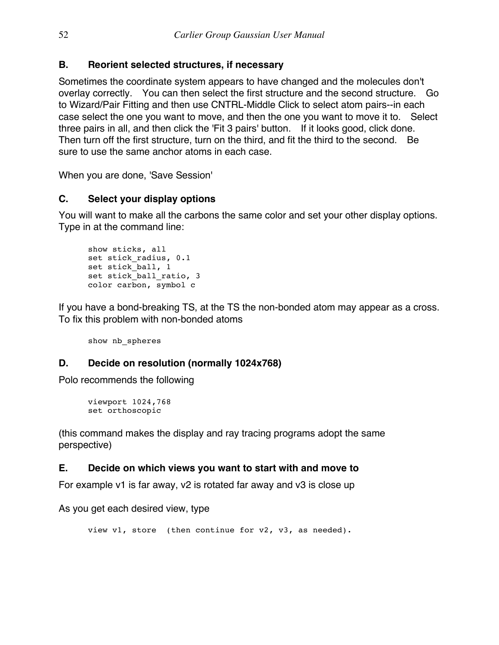### **B. Reorient selected structures, if necessary**

Sometimes the coordinate system appears to have changed and the molecules don't overlay correctly. You can then select the first structure and the second structure. Go to Wizard/Pair Fitting and then use CNTRL-Middle Click to select atom pairs--in each case select the one you want to move, and then the one you want to move it to. Select three pairs in all, and then click the 'Fit 3 pairs' button. If it looks good, click done. Then turn off the first structure, turn on the third, and fit the third to the second. Be sure to use the same anchor atoms in each case.

When you are done, 'Save Session'

### **C. Select your display options**

You will want to make all the carbons the same color and set your other display options. Type in at the command line:

```
show sticks, all
set stick radius, 0.1
set stick_ball, 1
set stick ball ratio, 3
color carbon, symbol c
```
If you have a bond-breaking TS, at the TS the non-bonded atom may appear as a cross. To fix this problem with non-bonded atoms

show nb\_spheres

### **D. Decide on resolution (normally 1024x768)**

Polo recommends the following

```
viewport 1024,768
set orthoscopic
```
(this command makes the display and ray tracing programs adopt the same perspective)

### **E. Decide on which views you want to start with and move to**

For example v1 is far away, v2 is rotated far away and v3 is close up

As you get each desired view, type

view v1, store (then continue for v2, v3, as needed).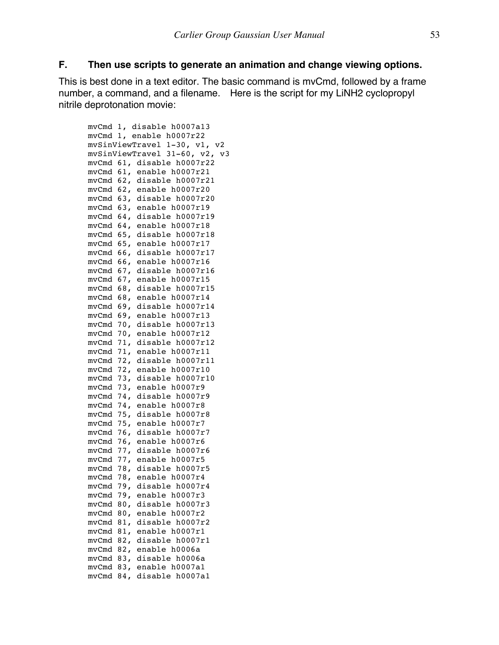#### **F. Then use scripts to generate an animation and change viewing options.**

This is best done in a text editor. The basic command is mvCmd, followed by a frame number, a command, and a filename. Here is the script for my LiNH2 cyclopropyl nitrile deprotonation movie:

```
mvCmd 1, disable h0007a13
mvCmd 1, enable h0007r22
mvSinViewTravel 1-30, v1, v2
mvSinViewTravel 31-60, v2, v3
mvCmd 61, disable h0007r22
mvCmd 61, enable h0007r21
mvCmd 62, disable h0007r21
mvCmd 62, enable h0007r20
mvCmd 63, disable h0007r20
mvCmd 63, enable h0007r19
mvCmd 64, disable h0007r19
mvCmd 64, enable h0007r18
mvCmd 65, disable h0007r18
mvCmd 65, enable h0007r17
mvCmd 66, disable h0007r17
mvCmd 66, enable h0007r16
mvCmd 67, disable h0007r16
mvCmd 67, enable h0007r15
mvCmd 68, disable h0007r15
mvCmd 68, enable h0007r14
mvCmd 69, disable h0007r14
mvCmd 69, enable h0007r13
mvCmd 70, disable h0007r13
mvCmd 70, enable h0007r12
mvCmd 71, disable h0007r12
mvCmd 71, enable h0007r11
mvCmd 72, disable h0007r11
mvCmd 72, enable h0007r10
mvCmd 73, disable h0007r10
mvCmd 73, enable h0007r9
mvCmd 74, disable h0007r9
mvCmd 74, enable h0007r8
mvCmd 75, disable h0007r8
mvCmd 75, enable h0007r7
mvCmd 76, disable h0007r7
mvCmd 76, enable h0007r6
mvCmd 77, disable h0007r6
mvCmd 77, enable h0007r5
mvCmd 78, disable h0007r5
mvCmd 78, enable h0007r4
mvCmd 79, disable h0007r4
mvCmd 79, enable h0007r3
mvCmd 80, disable h0007r3
mvCmd 80, enable h0007r2
mvCmd 81, disable h0007r2
mvCmd 81, enable h0007r1
mvCmd 82, disable h0007r1
mvCmd 82, enable h0006a
mvCmd 83, disable h0006a
mvCmd 83, enable h0007a1
mvCmd 84, disable h0007a1
```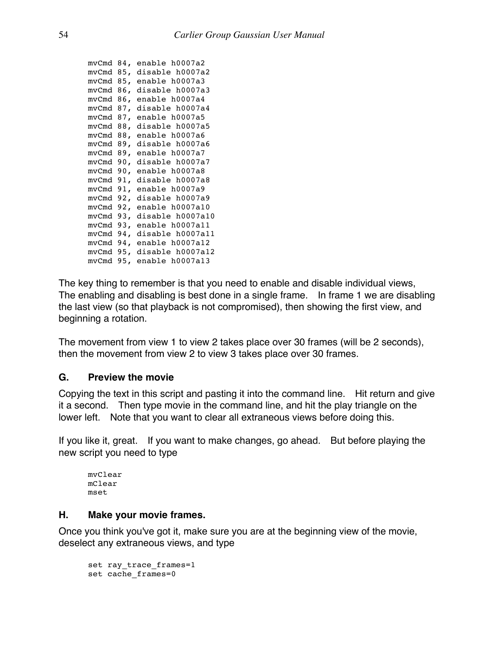```
mvCmd 84, enable h0007a2
mvCmd 85, disable h0007a2
mvCmd 85, enable h0007a3
mvCmd 86, disable h0007a3
mvCmd 86, enable h0007a4
mvCmd 87, disable h0007a4
mvCmd 87, enable h0007a5
mvCmd 88, disable h0007a5
mvCmd 88, enable h0007a6
mvCmd 89, disable h0007a6
mvCmd 89, enable h0007a7
mvCmd 90, disable h0007a7
mvCmd 90, enable h0007a8
mvCmd 91, disable h0007a8
mvCmd 91, enable h0007a9
mvCmd 92, disable h0007a9
mvCmd 92, enable h0007a10
mvCmd 93, disable h0007a10
mvCmd 93, enable h0007a11
mvCmd 94, disable h0007a11
mvCmd 94, enable h0007a12
mvCmd 95, disable h0007a12
mvCmd 95, enable h0007a13
```
The key thing to remember is that you need to enable and disable individual views, The enabling and disabling is best done in a single frame. In frame 1 we are disabling the last view (so that playback is not compromised), then showing the first view, and beginning a rotation.

The movement from view 1 to view 2 takes place over 30 frames (will be 2 seconds), then the movement from view 2 to view 3 takes place over 30 frames.

### **G. Preview the movie**

Copying the text in this script and pasting it into the command line. Hit return and give it a second. Then type movie in the command line, and hit the play triangle on the lower left. Note that you want to clear all extraneous views before doing this.

If you like it, great. If you want to make changes, go ahead. But before playing the new script you need to type

```
mvClear
mClear
mset
```
### **H. Make your movie frames.**

Once you think you've got it, make sure you are at the beginning view of the movie, deselect any extraneous views, and type

```
set ray trace frames=1
set cache_frames=0
```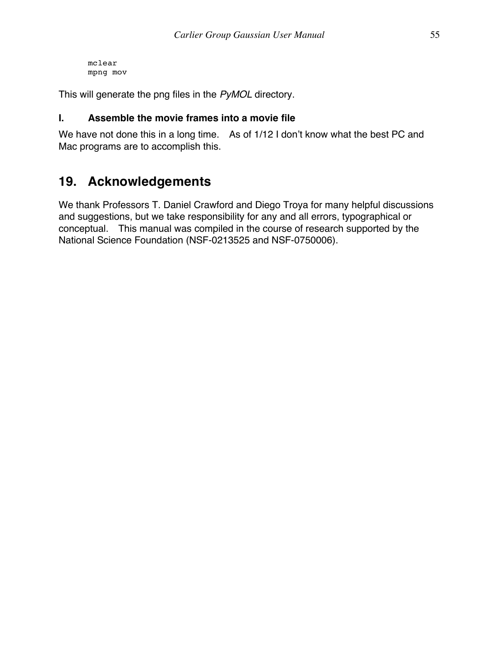mclear mpng mov

This will generate the png files in the *PyMOL* directory.

### **I. Assemble the movie frames into a movie file**

We have not done this in a long time. As of 1/12 I don't know what the best PC and Mac programs are to accomplish this.

### **19. Acknowledgements**

We thank Professors T. Daniel Crawford and Diego Troya for many helpful discussions and suggestions, but we take responsibility for any and all errors, typographical or conceptual. This manual was compiled in the course of research supported by the National Science Foundation (NSF-0213525 and NSF-0750006).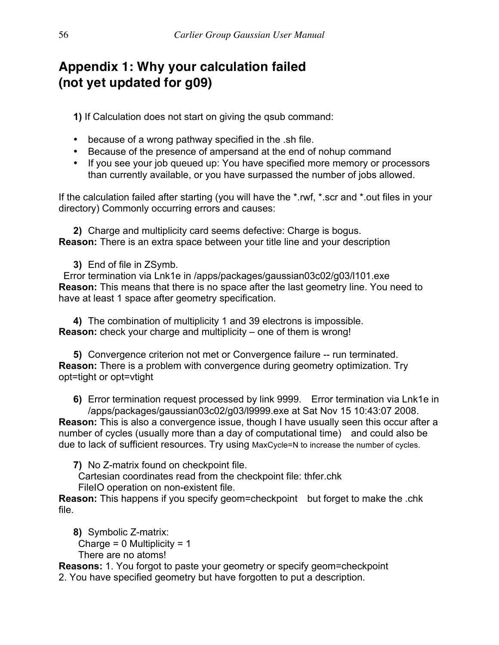## **Appendix 1: Why your calculation failed (not yet updated for g09)**

**1)** If Calculation does not start on giving the qsub command:

- because of a wrong pathway specified in the .sh file.
- Because of the presence of ampersand at the end of nohup command
- If you see your job queued up: You have specified more memory or processors than currently available, or you have surpassed the number of jobs allowed.

If the calculation failed after starting (you will have the \*.rwf, \*.scr and \*.out files in your directory) Commonly occurring errors and causes:

**2)** Charge and multiplicity card seems defective: Charge is bogus. **Reason:** There is an extra space between your title line and your description

**3)** End of file in ZSymb.

Error termination via Lnk1e in /apps/packages/gaussian03c02/g03/l101.exe **Reason:** This means that there is no space after the last geometry line. You need to have at least 1 space after geometry specification.

**4)** The combination of multiplicity 1 and 39 electrons is impossible. **Reason:** check your charge and multiplicity – one of them is wrong!

**5)** Convergence criterion not met or Convergence failure -- run terminated. **Reason:** There is a problem with convergence during geometry optimization. Try opt=tight or opt=vtight

**6)** Error termination request processed by link 9999. Error termination via Lnk1e in /apps/packages/gaussian03c02/g03/l9999.exe at Sat Nov 15 10:43:07 2008.

**Reason:** This is also a convergence issue, though I have usually seen this occur after a number of cycles (usually more than a day of computational time) and could also be due to lack of sufficient resources. Try using MaxCycle=N to increase the number of cycles.

**7)** No Z-matrix found on checkpoint file.

Cartesian coordinates read from the checkpoint file: thfer.chk FileIO operation on non-existent file.

**Reason:** This happens if you specify geom=checkpoint but forget to make the .chk file.

**8)** Symbolic Z-matrix: Charge =  $0$  Multiplicity =  $1$ There are no atoms!

**Reasons:** 1. You forgot to paste your geometry or specify geom=checkpoint 2. You have specified geometry but have forgotten to put a description.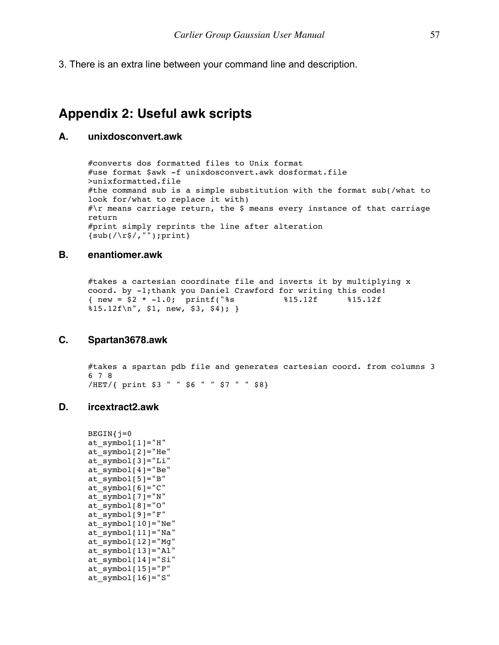3. There is an extra line between your command line and description.

### **Appendix 2: Useful awk scripts**

#### **A. unixdosconvert.awk**

#converts dos formatted files to Unix format #use format \$awk -f unixdosconvert.awk dosformat.file >unixformatted.file #the command sub is a simple substitution with the format sub(/what to look for/what to replace it with)  $\#\$ r means carriage return, the \$ means every instance of that carriage return #print simply reprints the line after alteration  $\{sub(\sqrt{r}\$ /, ""); print}

#### **B. enantiomer.awk**

#takes a cartesian coordinate file and inverts it by multiplying x coord. by  $-1$ ; thank you Daniel Crawford for writing this code!<br>{ new =  $$2 \times -1.0$ ; printf("\$s \$15.12f \$15.12f { new =  $\frac{1}{52}$  \* -1.0; printf("%s %15.12f %15.12f  $\$15.12f\$ , \\$1, new, \\$3, \\$4);

#### **C. Spartan3678.awk**

#takes a spartan pdb file and generates cartesian coord. from columns 3 6 7 8 /HET/{ print \$3 " " \$6 " " \$7 " " \$8}

#### **D. ircextract2.awk**

```
\texttt{BEGIN}{j=0at symbol[1]="H"at_symbol[2]="He"
at_symbol[3]="Li"
at_symbol[4]="Be"
at_symbol[5]="B"
at symbol[f(6)]="C"at symbol[7]="N"at_symbol[8]="O"
at_symbol[9]="F"
at symbol[10]="Ne"at symbol[11]="Na"
at_symbol[12]="Mg"
at_symbol[13]="Al"
at_symbol[14]="Si"
at symbol[15]="P"at symbol[16]="S"
```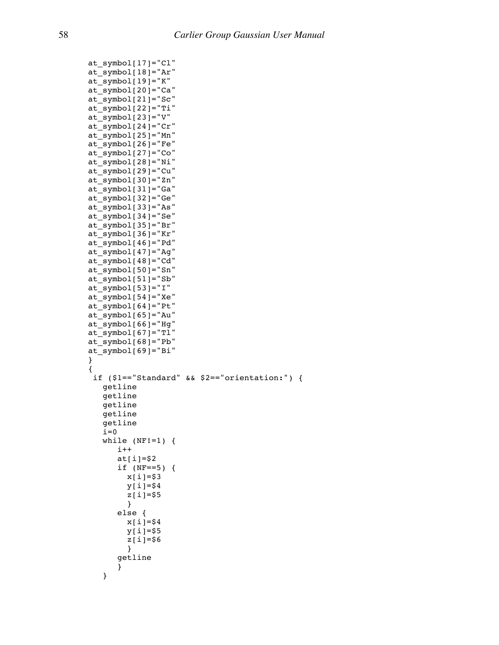```
at_symbol[17]="Cl"
at symbol[18]="Ar"
at symbol[19] = "K"at_symbol[20]="Ca"
at_symbol[21]="Sc"
at symbol[22]="Ti"
at_symbol[23]="V"
at symbol[24]="Cr"
at symbol[25]="Mn"at symbol[26]="Fe"at_symbol[27]="Co"
at symbol[28]="Ni"
at_symbol[29]="Cu"
at symbol[30]="Zn"at symbol[31]="Ga"
at_symbol[32]="Ge"
at symbol[33]="As"
at_symbol[34]="Se"
at symbol[35]="Br"at synbol[36]="Kr"at symbol[46]="Pd"at_symbol[47]="Ag"
at symbol[48]="Cd"
at_symbol[50]="Sn"
at synbol[51]="Sb"at_symbol[53]="I"
at_symbol[54]="Xe"
at symbol[(64]="Pt"
at_symbol[65]="Au"
at_symbol[66]="Hg"
at synbol[67]="TI"at symbol[68]="Pb"
at_symbol[69]="Bi"
}
{
 if ($1=="Standard" && $2=="orientation:") {
    getline
    getline
    getline
    getline
    getline
   i=0while (NF!=1) {
      i++ at[i]=$2
       if (NF==5) {
         x[i]=$3
        y[i]=$4
         z[i]=$5 
         }
       else {
         x[i]=$4
         y[i]=$5
         z[i]=$6 
         }
       getline
       }
    }
```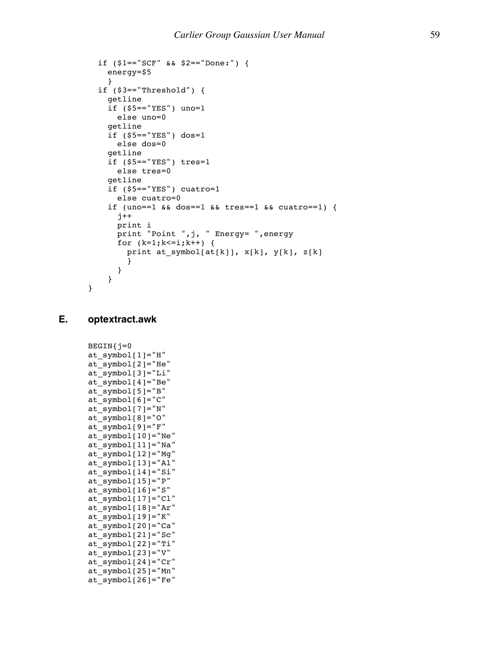```
 if ($1=="SCF" && $2=="Done:") {
   energy=$5
  }
 if ($3=="Threshold") {
   getline
   if ($5=="YES") uno=1
     else uno=0
   getline 
   if ($5=="YES") dos=1
     else dos=0
   getline 
  if (55 == "YES") tres=1
     else tres=0
   getline 
   if ($5=="YES") cuatro=1
     else cuatro=0
   if (uno==1 && dos==1 && tres==1 && cuatro==1) {
    j++ print i
     print "Point ",j, " Energy= ",energy
    for (k=1; k<=i; k++) {
       print at_symbol[at[k]], x[k], y[k], z[k]
      }
    }
  }
```
 $\texttt{BEGIN}$ { $j=0$ 

at\_symbol[2]="He" at\_symbol[3]="Li" at  $symbol[4]="Be"$ at  $symbol[5]="B"$ 

at  $symbol[6]="C"$ at\_symbol[7]="N" at  $symbol[8]="0"$ at  $symbol[9]="F"$ at  $symbol[10]="Ne"$ at\_symbol[11]="Na" at\_symbol[12]="Mg" at  $symbol[13]="Al"$ at\_symbol[14]="Si" at  $synbol[15]="P"$ at  $symbol[16]="S"$ at  $symbol[17]="C1"$ at\_symbol[18]="Ar" at\_symbol[19]="K" at\_symbol[20]="Ca" at  $synbol[21] = "Sc"$ at  $synbol[22] = "Ti"$ at  $symbol[23] = "V"$ at  $symbol[24]$ ="Cr" at\_symbol[25]="Mn" at  $symbol[26]$ ="Fe"

at  $symbol[1]="H"$ 

#### **E. optextract.awk**

}